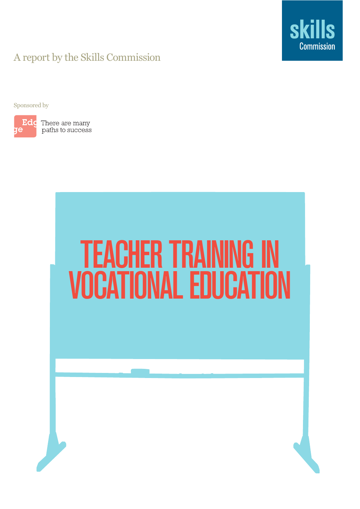

### A report by the Skills Commission

Sponsored by



**Edc** There are many paths to success

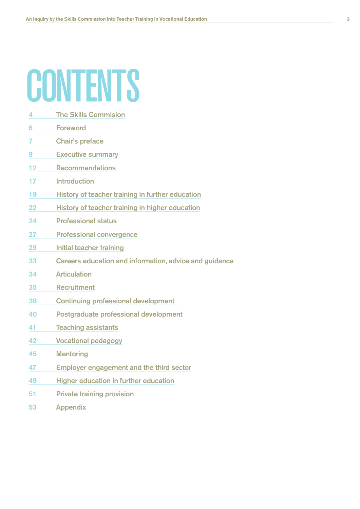### **CONTENTS**

- 4 The Skills Commision
- 6 Foreword
- 7 Chair's preface
- 9 Executive summary
- 12 Recommendations
- 17 Introduction
- 19 History of teacher training in further education
- 22 History of teacher training in higher education
- 24 Professional status
- 27 Professional convergence
- 29 Initial teacher training
- 33 Careers education and information, advice and guidance
- 34 Articulation
- 35 Recruitment
- 38 Continuing professional development
- 40 Postgraduate professional development
- 41 Teaching assistants
- 42 Vocational pedagogy
- 45 Mentoring
- 47 Employer engagement and the third sector
- 49 Higher education in further education
- 51 Private training provision
- 53 Appendix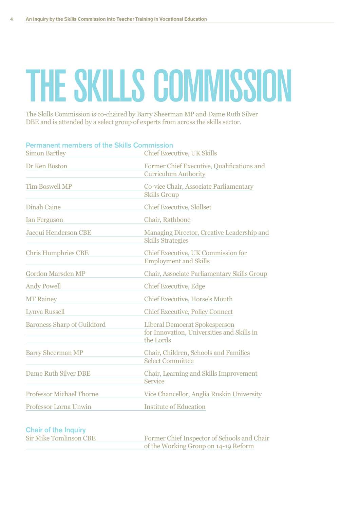# THE SKILLS COMMISSION

The Skills Commission is co-chaired by Barry Sheerman MP and Dame Ruth Silver DBE and is attended by a select group of experts from across the skills sector.

| <b>Permanent members of the Skills Commission</b> |                                                                                                 |
|---------------------------------------------------|-------------------------------------------------------------------------------------------------|
| <b>Simon Bartley</b>                              | <b>Chief Executive, UK Skills</b>                                                               |
| Dr Ken Boston                                     | Former Chief Executive, Qualifications and<br><b>Curriculum Authority</b>                       |
| <b>Tim Boswell MP</b>                             | Co-vice Chair, Associate Parliamentary<br><b>Skills Group</b>                                   |
| <b>Dinah Caine</b>                                | <b>Chief Executive, Skillset</b>                                                                |
| <b>Ian Ferguson</b>                               | Chair, Rathbone                                                                                 |
| Jacqui Henderson CBE                              | Managing Director, Creative Leadership and<br><b>Skills Strategies</b>                          |
| <b>Chris Humphries CBE</b>                        | Chief Executive, UK Commission for<br><b>Employment and Skills</b>                              |
| <b>Gordon Marsden MP</b>                          | Chair, Associate Parliamentary Skills Group                                                     |
| <b>Andy Powell</b>                                | <b>Chief Executive, Edge</b>                                                                    |
| <b>MT Rainey</b>                                  | Chief Executive, Horse's Mouth                                                                  |
| <b>Lynva Russell</b>                              | <b>Chief Executive, Policy Connect</b>                                                          |
| <b>Baroness Sharp of Guildford</b>                | <b>Liberal Democrat Spokesperson</b><br>for Innovation, Universities and Skills in<br>the Lords |
| <b>Barry Sheerman MP</b>                          | Chair, Children, Schools and Families<br><b>Select Committee</b>                                |
| <b>Dame Ruth Silver DBE</b>                       | Chair, Learning and Skills Improvement<br><b>Service</b>                                        |
| <b>Professor Michael Thorne</b>                   | Vice Chancellor, Anglia Ruskin University                                                       |
| <b>Professor Lorna Unwin</b>                      | <b>Institute of Education</b>                                                                   |

### **Chair of the Inquiry**

| <b>Sir Mike Tomlinson CBE</b> | Former Chief Inspector of Schools and Chair |
|-------------------------------|---------------------------------------------|
|                               | of the Working Group on 14-19 Reform        |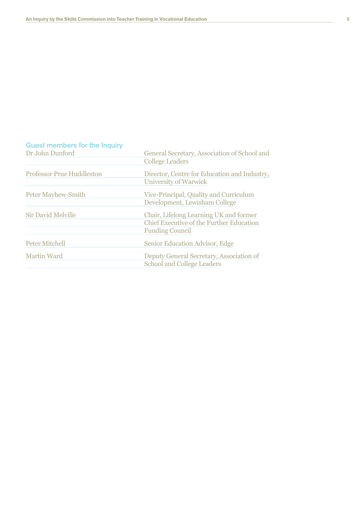### Guest members for the Inquiry

| Dr John Dunford                  | General Secretary, Association of School and<br><b>College Leaders</b>                                              |
|----------------------------------|---------------------------------------------------------------------------------------------------------------------|
| <b>Professor Prue Huddleston</b> | Director, Centre for Education and Industry,<br>University of Warwick                                               |
| <b>Peter Mayhew-Smith</b>        | Vice-Principal, Quality and Curriculum<br>Development, Lewisham College                                             |
| <b>Sir David Melville</b>        | Chair, Lifelong Learning UK and former<br><b>Chief Executive of the Further Education</b><br><b>Funding Council</b> |
| <b>Peter Mitchell</b>            | Senior Education Advisor, Edge                                                                                      |
| <b>Martin Ward</b>               | Deputy General Secretary, Association of<br><b>School and College Leaders</b>                                       |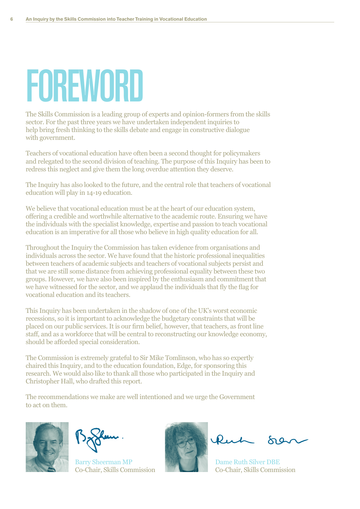## FOREWORD

The Skills Commission is a leading group of experts and opinion-formers from the skills sector. For the past three years we have undertaken independent inquiries to help bring fresh thinking to the skills debate and engage in constructive dialogue with government.

Teachers of vocational education have often been a second thought for policymakers and relegated to the second division of teaching. The purpose of this Inquiry has been to redress this neglect and give them the long overdue attention they deserve.

The Inquiry has also looked to the future, and the central role that teachers of vocational education will play in 14-19 education.

We believe that vocational education must be at the heart of our education system, offering a credible and worthwhile alternative to the academic route. Ensuring we have the individuals with the specialist knowledge, expertise and passion to teach vocational education is an imperative for all those who believe in high quality education for all.

Throughout the Inquiry the Commission has taken evidence from organisations and individuals across the sector. We have found that the historic professional inequalities between teachers of academic subjects and teachers of vocational subjects persist and that we are still some distance from achieving professional equality between these two groups. However, we have also been inspired by the enthusiasm and commitment that we have witnessed for the sector, and we applaud the individuals that fly the flag for yocational education and its teachers.

This Inquiry has been undertaken in the shadow of one of the UK's worst economic recessions, so it is important to acknowledge the budgetary constraints that will be placed on our public services. It is our firm belief, however, that teachers, as front line staff, and as a workforce that will be central to reconstructing our knowledge economy. should be afforded special consideration.

The Commission is extremely grateful to Sir Mike Tomlinson, who has so expertly chaired this Inquiry, and to the education foundation, Edge, for sponsoring this research. We would also like to thank all those who participated in the Inquiry and Christopher Hall, who drafted this report.

The recommendations we make are well intentioned and we urge the Government to act on them.



Barry Sheerman MP **WARE THE DAME Ruth Silver DBE** Co-Chair, Skills Commission<br>Co-Chair, Skills Commission



 $\mathbf{p}_{\mathbf{u}}$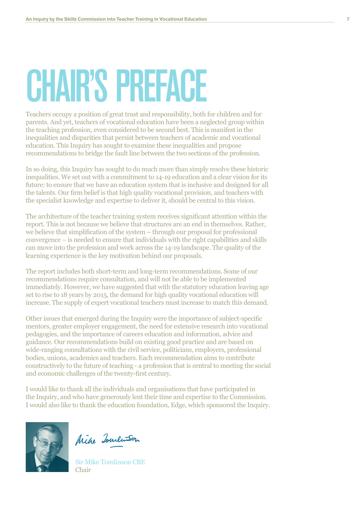## CHAIR'S PREFACE

Teachers occupy a position of great trust and responsibility, both for children and for parents. And yet, teachers of vocational education have been a neglected group within the teaching profession, even considered to be second best. This is manifest in the inequalities and disparities that persist between teachers of academic and vocational education. This Inquiry has sought to examine these inequalities and propose recommendations to bridge the fault line between the two sections of the profession.

In so doing, this Inquiry has sought to do much more than simply resolve these historic inequalities. We set out with a commitment to 14-19 education and a clear vision for its future: to ensure that we have an education system that is inclusive and designed for all the talents. Our firm belief is that high quality vocational provision, and teachers with the specialist knowledge and expertise to deliver it, should be central to this vision.

The architecture of the teacher training system receives significant attention within the report. This is not because we believe that structures are an end in themselves. Rather, we believe that simplification of the system  $-$  through our proposal for professional  $F$ convergence  $-$  is needed to ensure that individuals with the right capabilities and skills can move into the profession and work across the 14-19 landscape. The quality of the learning experience is the key motivation behind our proposals.

The report includes both short-term and long-term recommendations. Some of our recommendations require consultation, and will not be able to be implemented immediately. However, we have suggested that with the statutory education leaving age set to rise to 18 years by 2015, the demand for high quality yocational education will increase. The supply of expert vocational teachers must increase to match this demand.

Other issues that emerged during the Inquiry were the importance of subject-specific mentors, greater employer engagement, the need for extensive research into vocational pedagogies, and the importance of careers education and information, advice and guidance. Our recommendations build on existing good practice and are based on wide-ranging consultations with the civil service, politicians, employers, professional bodies, unions, academics and teachers. Each recommendation aims to contribute constructively to the future of teaching - a profession that is central to meeting the social and economic challenges of the twenty-first century.

I would like to thank all the individuals and organisations that have participated in the Inquiry, and who have generously lent their time and expertise to the Commission. I would also like to thank the education foundation, Edge, which sponsored the Inquiry.



Mike Towlinson

Sir Mike Tomlinson CBE Chair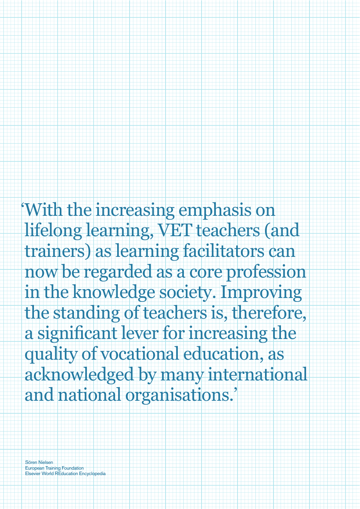'With the increasing emphasis on lifelong learning, VET teachers (and trainers) as learning facilitators can now be regarded as a core profession in the knowledge society. Improving the standing of teachers is, therefore, a significant lever for increasing the quality of vocational education, as acknowledged by many international and national organisations.'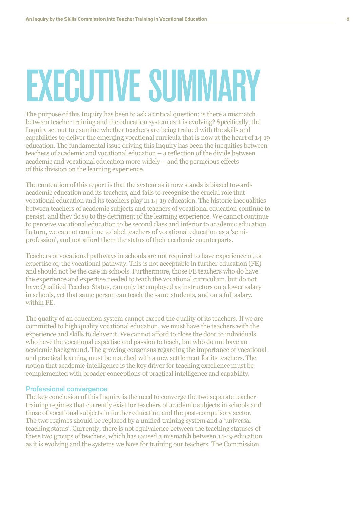### **EXECUTIVE SUMMARY**

The purpose of this Inquiry has been to ask a critical question: is there a mismatch between teacher training and the education system as it is evolving? Specifically, the Inquiry set out to examine whether teachers are being trained with the skills and capabilities to deliver the emerging vocational curricula that is now at the heart of 14-19 education. The fundamental issue driving this Inquiry has been the inequities between teachers of academic and vocational education – a reflection of the divide between academic and vocational education more widely – and the pernicious effects of this division on the learning experience.

The contention of this report is that the system as it now stands is biased towards academic education and its teachers, and fails to recognise the crucial role that vocational education and its teachers play in 14-19 education. The historic inequalities between teachers of academic subjects and teachers of vocational education continue to persist, and they do so to the detriment of the learning experience. We cannot continue to perceive vocational education to be second class and inferior to academic education. In turn, we cannot continue to label teachers of vocational education as a 'semiprofession', and not afford them the status of their academic counterparts.

Teachers of vocational pathways in schools are not required to have experience of, or expertise of, the vocational pathway. This is not acceptable in further education (FE) and should not be the case in schools. Furthermore, those FE teachers who do have the experience and expertise needed to teach the vocational curriculum, but do not have Qualified Teacher Status, can only be employed as instructors on a lower salary in schools, yet that same person can teach the same students, and on a full salary. within FE

The quality of an education system cannot exceed the quality of its teachers. If we are committed to high quality vocational education, we must have the teachers with the experience and skills to deliver it. We cannot afford to close the door to individuals who have the vocational expertise and passion to teach, but who do not have an academic background. The growing consensus regarding the importance of vocational and practical learning must be matched with a new settlement for its teachers. The notion that academic intelligence is the key driver for teaching excellence must be complemented with broader conceptions of practical intelligence and capability.

### **Professional convergence**

The key conclusion of this Inquiry is the need to converge the two separate teacher training regimes that currently exist for teachers of academic subjects in schools and those of vocational subjects in further education and the post-compulsory sector. The two regimes should be replaced by a unified training system and a 'universal teaching status'. Currently, there is not equivalence between the teaching statuses of these two groups of teachers, which has caused a mismatch between 14-19 education as it is evolving and the systems we have for training our teachers. The Commission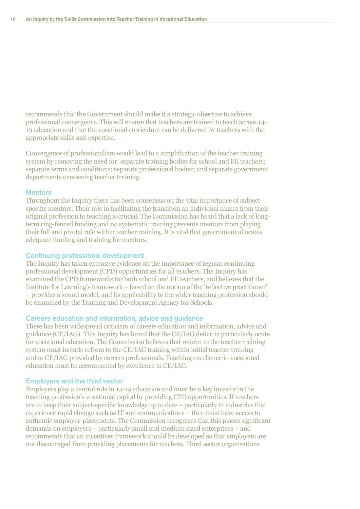recommends that the Government should make it a strategic objective to achieve professional convergence. This will ensure that teachers are trained to teach across 14-19 education and that the vocational curriculum can be delivered by teachers with the appropriate skills and expertise.

Convergence of professionalism would lead to a simplification of the teacher training system by removing the need for: separate training bodies for school and FE teachers; separate terms and conditions: separate professional bodies; and separate government departments overseeing teacher training.

### **Mentors**

Throughout the Inquiry there has been consensus on the vital importance of subjectspecific mentors. Their role in facilitating the transition an individual makes from their original profession to teaching is crucial. The Commission has heard that a lack of longterm ring-fenced funding and no systematic training prevents mentors from playing their full and pivotal role within teacher training. It is vital that government allocates adequate funding and training for mentors.

### **Continuing professional development**

The Inquiry has taken extensive evidence on the importance of regular continuing professional development (CPD) opportunities for all teachers. The Inquiry has examined the CPD frameworks for both school and FE teachers, and believes that the Institute for Learning's framework – based on the notion of the 'reflective practitioner' - provides a sound model, and its applicability to the wider teaching profession should be examined by the Training and Development Agency for Schools.

### Careers education and information, advice and guidance

There has been widespread criticism of careers education and information, advice and guidance (CE/IAG). This Inquiry has heard that the CE/IAG deficit is particularly acute for vocational education. The Commission believes that reform to the teacher training system must include reform to the CE/IAG training within initial teacher training and to CE/IAG provided by careers professionals. Teaching excellence in vocational education must be accompanied by excellence in CE/IAG.

### **Employers and the third sector**

Employers play a central role in 14-19 education and must be a key investor in the teaching profession's vocational capital by providing CPD opportunities. If teachers are to keep their subject-specific knowledge up to date – particularly in industries that experience rapid change such as IT and communications – they must have access to authentic employer-placements. The Commission recognises that this places significant demands on employers – particularly small and medium sized enterprises – and recommends that an incentives framework should be developed so that employers are not discouraged from providing placements for teachers. Third sector organisations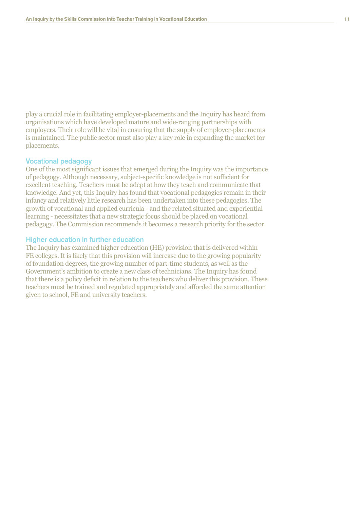play a crucial role in facilitating employer-placements and the Inquiry has heard from organisations which have developed mature and wide-ranging partnerships with employers. Their role will be vital in ensuring that the supply of employer-placements is maintained. The public sector must also play a key role in expanding the market for placements.

### Vocational pedagogy

One of the most significant issues that emerged during the Inquiry was the importance of pedagogy. Although necessary, subject-specific knowledge is not sufficient for excellent teaching. Teachers must be adept at how they teach and communicate that knowledge. And yet, this Inquiry has found that vocational pedagogies remain in their infancy and relatively little research has been undertaken into these pedagogies. The growth of vocational and applied curricula - and the related situated and experiential  $\overline{\text{learning}}$  - necessitates that a new strategic focus should be placed on vocational pedagogy. The Commission recommends it becomes a research priority for the sector.

### Higher education in further education

The Inquiry has examined higher education (HE) provision that is delivered within FE colleges. It is likely that this provision will increase due to the growing popularity of foundation degrees, the growing number of part-time students, as well as the Government's ambition to create a new class of technicians. The Inquiry has found that there is a policy deficit in relation to the teachers who deliver this provision. These teachers must be trained and regulated appropriately and afforded the same attention given to school. FE and university teachers.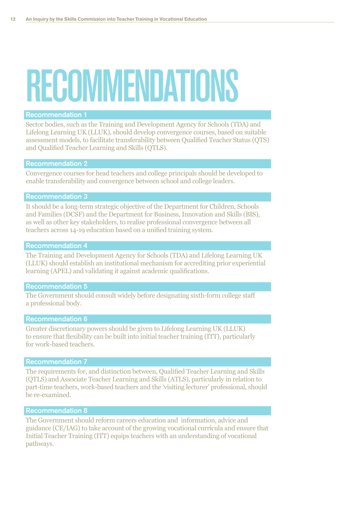### RECOMMENDATIONS

### **Recommendation 1**

Sector bodies, such as the Training and Development Agency for Schools (TDA) and Lifelong Learning UK (LLUK), should develop convergence courses, based on suitable assessment models, to facilitate transferability between Qualified Teacher Status (QTS) and Qualified Teacher Learning and Skills (QTLS).

### **Recommendation 2**

Convergence courses for head teachers and college principals should be developed to enable transferability and convergence between school and college leaders.

### **Recommendation 3**

It should be a long-term strategic objective of the Department for Children, Schools and Families (DCSF) and the Department for Business, Innovation and Skills (BIS), as well as other key stakeholders, to realise professional convergence between all teachers across 14-19 education based on a unified training system.

### **Recommendation 4**

The Training and Development Agency for Schools (TDA) and Lifelong Learning UK (LLUK) should establish an institutional mechanism for accrediting prior experiential learning (APEL) and validating it against academic qualifications.

### **Recommendation 5**

The Government should consult widely before designating sixth-form college staff a professional body.

### **Recommendation 6**

Greater discretionary powers should be given to Lifelong Learning UK (LLUK) to ensure that flexibility can be built into initial teacher training (ITT), particularly for work-based teachers.

### **Recommendation 7**

The requirements for, and distinction between, Qualified Teacher Learning and Skills (QTLS) and Associate Teacher Learning and Skills (ATLS), particularly in relation to part-time teachers, work-based teachers and the 'visiting lecturer' professional, should be re-examined.

### **Recommendation 8**

The Government should reform careers education and information, advice and guidance (CE/IAG) to take account of the growing vocational curricula and ensure that Initial Teacher Training (ITT) equips teachers with an understanding of vocational pathways.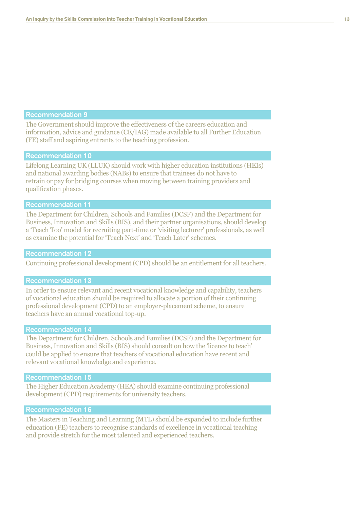The Government should improve the effectiveness of the careers education and information, advice and guidance (CE/IAG) made available to all Further Education (FE) staff and aspiring entrants to the teaching profession.

### **Recommendation 10**

Lifelong Learning UK (LLUK) should work with higher education institutions (HEIs) and national awarding bodies (NABs) to ensure that trainees do not have to retrain or pay for bridging courses when moving between training providers and qualification phases.

### **Recommendation 11**

The Department for Children, Schools and Families (DCSF) and the Department for Business, Innovation and Skills (BIS), and their partner organisations, should develop a 'Teach Too' model for recruiting part-time or 'visiting lecturer' professionals, as well as examine the potential for 'Teach Next' and 'Teach Later' schemes.

### **Recommendation 12**

Continuing professional development (CPD) should be an entitlement for all teachers.

### **Recommendation 13**

In order to ensure relevant and recent vocational knowledge and capability, teachers of vocational education should be required to allocate a portion of their continuing professional development (CPD) to an employer-placement scheme, to ensure teachers have an annual vocational top-up.

### **Recommendation 14**

The Department for Children, Schools and Families (DCSF) and the Department for Business, Innovation and Skills (BIS) should consult on how the 'licence to teach' could be applied to ensure that teachers of vocational education have recent and relevant vocational knowledge and experience.

### **Recommendation 15**

The Higher Education Academy (HEA) should examine continuing professional development (CPD) requirements for university teachers.

### **Recommendation 16**

The Masters in Teaching and Learning (MTL) should be expanded to include further education (FE) teachers to recognise standards of excellence in vocational teaching and provide stretch for the most talented and experienced teachers.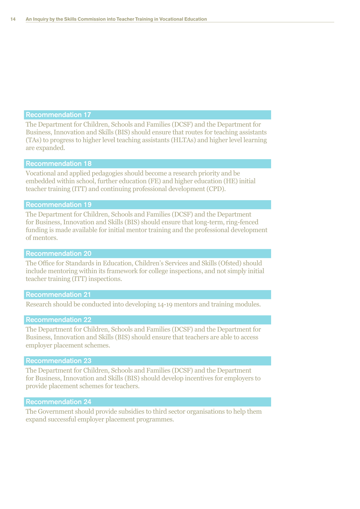The Department for Children, Schools and Families (DCSF) and the Department for Business, Innovation and Skills (BIS) should ensure that routes for teaching assistants (TAs) to progress to higher level teaching assistants (HLTAs) and higher level learning are expanded.

### Recommendation 18

Vocational and applied pedagogies should become a research priority and be embedded within school, further education (FE) and higher education (HE) initial teacher training (ITT) and continuing professional development (CPD).

### Recommendation 19

The Department for Children, Schools and Families (DCSF) and the Department for Business, Innovation and Skills (BIS) should ensure that long-term, ring-fenced funding is made available for initial mentor training and the professional development of mentors.

### Recommendation 20

The Office for Standards in Education, Children's Services and Skills (Ofsted) should include mentoring within its framework for college inspections, and not simply initial teacher training (ITT) inspections.

### Recommendation 21

Research should be conducted into developing 14-19 mentors and training modules.

### Recommendation 22

The Department for Children, Schools and Families (DCSF) and the Department for Business, Innovation and Skills (BIS) should ensure that teachers are able to access employer placement schemes.

### Recommendation 23

The Department for Children, Schools and Families (DCSF) and the Department for Business, Innovation and Skills (BIS) should develop incentives for employers to provide placement schemes for teachers.

### Recommendation 24

The Government should provide subsidies to third sector organisations to help them expand successful employer placement programmes.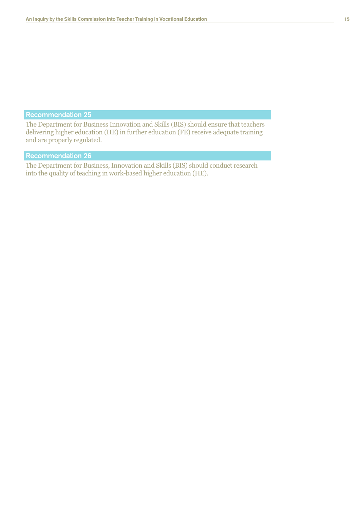The Department for Business Innovation and Skills (BIS) should ensure that teachers delivering higher education (HE) in further education (FE) receive adequate training and are properly regulated.

### Recommendation 26

The Department for Business, Innovation and Skills (BIS) should conduct research into the quality of teaching in work-based higher education (HE).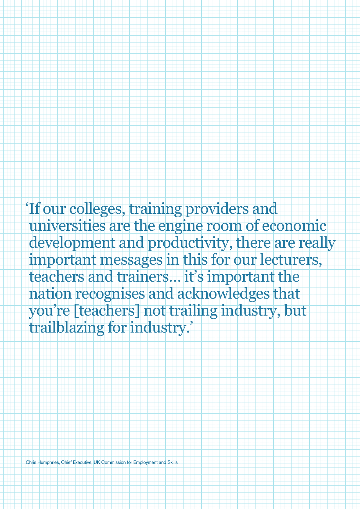'If our colleges, training providers and universities are the engine room of economic development and productivity, there are really important messages in this for our lecturers, teachers and trainers... it's important the nation recognises and acknowledges that you're [teachers] not trailing industry, but trailblazing for industry.'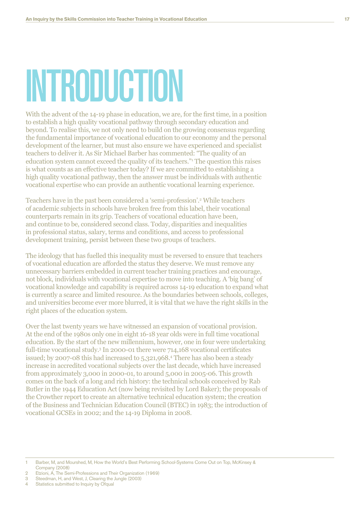### INTRODUCTION

With the advent of the 14-19 phase in education, we are, for the first time, in a position to establish a high quality vocational pathway through secondary education and beyond. To realise this, we not only need to build on the growing consensus regarding the fundamental importance of vocational education to our economy and the personal development of the learner, but must also ensure we have experienced and specialist teachers to deliver it. As Sir Michael Barber has commented: "The quality of an education system cannot exceed the quality of its teachers." The question this raises is what counts as an effective teacher today? If we are committed to establishing a high quality vocational pathway, then the answer must be individuals with authentic vocational expertise who can provide an authentic vocational learning experience.

Teachers have in the past been considered a 'semi-profession'.<sup>2</sup> While teachers of academic subjects in schools have broken free from this label, their vocational counterparts remain in its grip. Teachers of vocational education have been, and continue to be, considered second class. Today, disparities and inequalities in professional status, salary, terms and conditions, and access to professional development training, persist between these two groups of teachers.

The ideology that has fuelled this inequality must be reversed to ensure that teachers of vocational education are afforded the status they deserve. We must remove any unnecessary barriers embedded in current teacher training practices and encourage, not block, individuals with vocational expertise to move into teaching. A 'big bang' of vocational knowledge and capability is required across 14-19 education to expand what is currently a scarce and limited resource. As the boundaries between schools, colleges, and universities become ever more blurred, it is vital that we have the right skills in the right places of the education system.

Over the last twenty years we have witnessed an expansion of vocational provision. At the end of the 1980s only one in eight 16-18 year olds were in full time vocational education. By the start of the new millennium, however, one in four were undertaking full-time vocational study.<sup>3</sup> In 2000-01 there were 714,168 vocational certificates issued; by 2007-08 this had increased to 5,321,968.4 There has also been a steady increase in accredited vocational subjects over the last decade, which have increased from approximately 3,000 in 2000-01, to around  $5,000$  in 2005-06. This growth comes on the back of a long and rich history: the technical schools conceived by Rab Butler in the 1944 Education Act (now being revisited by Lord Baker); the proposals of the Crowther report to create an alternative technical education system; the creation of the Business and Technician Education Council (BTEC) in 1983; the introduction of vocational GCSEs in 2002; and the 14-19 Diploma in 2008.

Barber, M, and Mourshed, M, How the World's Best Performing School-Systems Come Out on Top, McKinsey &  $\overline{1}$ Company (2008)

 $\overline{2}$ Etzioni, A, The Semi-Professions and Their Organization (1969)

Steedman, H, and West, J, Clearing the Jungle (2003) 3

 $\Lambda$ Statistics submitted to Inquiry by Ofqual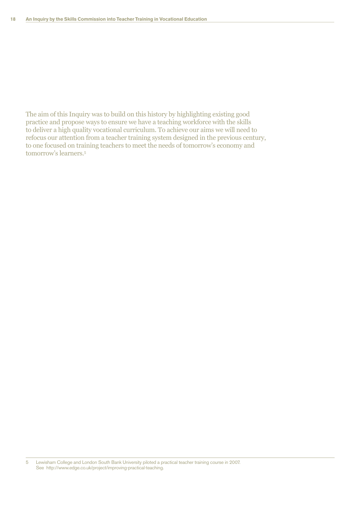The aim of this Inquiry was to build on this history by highlighting existing good practice and propose ways to ensure we have a teaching workforce with the skills to deliver a high quality vocational curriculum. To achieve our aims we will need to refocus our attention from a teacher training system designed in the previous century, to one focused on training teachers to meet the needs of tomorrow's economy and tomorrow's learners.<sup>5</sup>

5 Lewisham College and London South Bank University piloted a practical teacher training course in 2007. See http://www.edge.co.uk/project/improving-practical-teaching.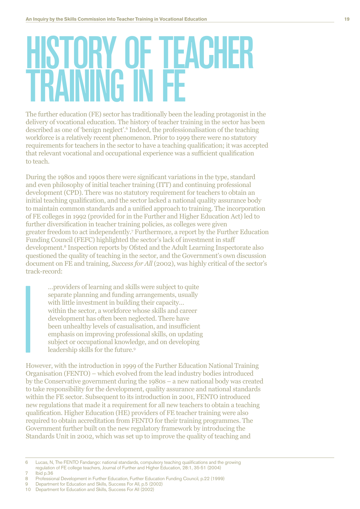# HISTORY OF TEACHER<br>TRAINING IN FF

The further education (FE) sector has traditionally been the leading protagonist in the delivery of vocational education. The history of teacher training in the sector has been described as one of 'benign neglect'.<sup>6</sup> Indeed, the professionalisation of the teaching workforce is a relatively recent phenomenon. Prior to 1999 there were no statutory requirements for teachers in the sector to have a teaching qualification; it was accepted that relevant vocational and occupational experience was a sufficient qualification to teach.

During the 1980s and 1990s there were significant variations in the type, standard and even philosophy of initial teacher training (ITT) and continuing professional development (CPD). There was no statutory requirement for teachers to obtain an initial teaching qualification, and the sector lacked a national quality assurance body to maintain common standards and a unified approach to training. The incorporation of FE colleges in 1992 (provided for in the Further and Higher Education Act) led to further diversification in teacher training policies, as colleges were given greater freedom to act independently.<sup>7</sup> Furthermore, a report by the Further Education Funding Council (FEFC) highlighted the sector's lack of investment in staff development.<sup>8</sup> Inspection reports by Ofsted and the Adult Learning Inspectorate also questioned the quality of teaching in the sector, and the Government's own discussion document on FE and training, Success for All (2002), was highly critical of the sector's track-record:

...providers of learning and skills were subject to quite separate planning and funding arrangements, usually with little investment in building their capacity... within the sector, a workforce whose skills and career development has often been neglected. There have been unhealthy levels of casualisation, and insufficient emphasis on improving professional skills, on updating subject or occupational knowledge, and on developing leadership skills for the future.<sup>9</sup>

However, with the introduction in 1999 of the Further Education National Training Organisation (FENTO) – which evolved from the lead industry bodies introduced by the Conservative government during the  $1980s - a$  new national body was created to take responsibility for the development, quality assurance and national standards within the FE sector. Subsequent to its introduction in 2001, FENTO introduced new regulations that made it a requirement for all new teachers to obtain a teaching qualification. Higher Education (HE) providers of FE teacher training were also required to obtain accreditation from FENTO for their training programmes. The Government further built on the new regulatory framework by introducing the Standards Unit in 2002, which was set up to improve the quality of teaching and

- Ibid p.36
- $\,8\,$ Professional Development in Further Education, Further Education Funding Council, p.22 (1999)
- $\mathbf{Q}$ Department for Education and Skills, Success For All, p.5 (2002)
- 10 Department for Education and Skills, Success For All (2002)

 $\overline{6}$ Lucas, N, The FENTO Fandango: national standards, compulsory teaching qualifications and the growing regulation of FE college teachers, Journal of Further and Higher Education, 28:1, 35-51 (2004)  $\overline{7}$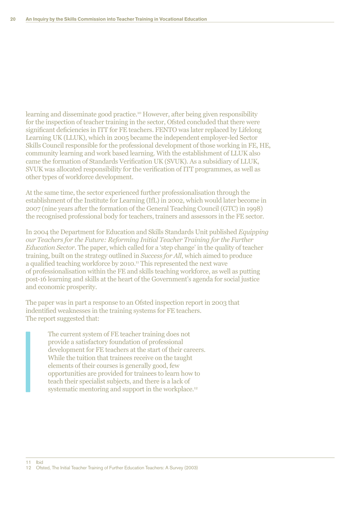learning and disseminate good practice.<sup>10</sup> However, after being given responsibility for the inspection of teacher training in the sector, Ofsted concluded that there were significant deficiencies in ITT for FE teachers. FENTO was later replaced by Lifelong Learning UK (LLUK), which in 2005 became the independent employer-led Sector Skills Council responsible for the professional development of those working in FE, HE, community learning and work based learning. With the establishment of LLUK also came the formation of Standards Verification UK (SVUK). As a subsidiary of LLUK, SVUK was allocated responsibility for the verification of ITT programmes, as well as other types of workforce development.

At the same time, the sector experienced further professionalisation through the establishment of the Institute for Learning (IfL) in 2002, which would later become in 2007 (nine years after the formation of the General Teaching Council (GTC) in 1998) the recognised professional body for teachers, trainers and assessors in the FE sector.

In 2004 the Department for Education and Skills Standards Unit published *Equipping PHITTLE THE FULL ATT COVIDENT IN THE FURIOR FURIOR FURIOR IN THE FURIOR SUPPLIPS THE FURIOR SUPPLIPS THE FURIOR SUPPLIPS THE FURIOR SUPPLIPS THE FURIOR SUPPLIPS THE FURIOR SUPPLIPS THE FURIOR SUPPLIPS THE FURIOR SUPPLIPS Education Sector.* The paper, which called for a 'step change' in the quality of teacher training, built on the strategy outlined in *Success for All*, which aimed to produce a qualified teaching workforce by 2010.<sup>11</sup> This represented the next wave of professionalisation within the FE and skills teaching workforce, as well as putting post-16 learning and skills at the heart of the Government's agenda for social justice and economic prosperity.

The paper was in part a response to an Ofsted inspection report in 2003 that indentified weaknesses in the training systems for FE teachers. The report suggested that:

> The current system of FE teacher training does not provide a satisfactory foundation of professional development for FE teachers at the start of their careers. While the tuition that trainees receive on the taught elements of their courses is generally good, few opportunities are provided for trainees to learn how to teach their specialist subjects, and there is a lack of systematic mentoring and support in the workplace.<sup>12</sup>

12 Ofsted, The Initial Teacher Training of Further Education Teachers: A Survey (2003)

11 Ibid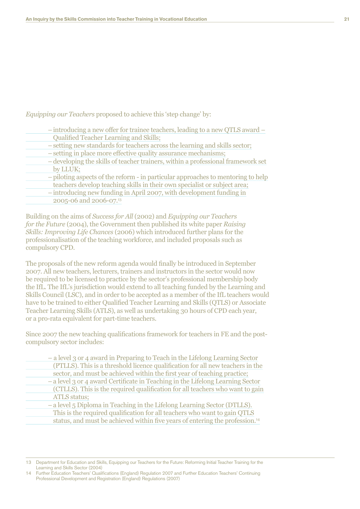Equipping our Teachers proposed to achieve this 'step change' by:

| - introducing a new offer for trainee teachers, leading to a new QTLS award -    |
|----------------------------------------------------------------------------------|
| Qualified Teacher Learning and Skills;                                           |
| - setting new standards for teachers across the learning and skills sector;      |
| - setting in place more effective quality assurance mechanisms;                  |
| - developing the skills of teacher trainers, within a professional framework set |
| by LLUK;                                                                         |
| - piloting aspects of the reform - in particular approaches to mentoring to help |

teachers develop teaching skills in their own specialist or subject area;

 $-$  introducing new funding in April 2007, with development funding in 2005-06 and 2006-07.13

Building on the aims of Success for All (2002) and Equipping our Teachers for the Future (2004), the Government then published its white paper Raising Skills: Improving Life Chances (2006) which introduced further plans for the professionalisation of the teaching workforce, and included proposals such as compulsory CPD.

The proposals of the new reform agenda would finally be introduced in September 2007. All new teachers, lecturers, trainers and instructors in the sector would now be required to be licensed to practice by the sector's professional membership body the IfL. The IfL's jurisdiction would extend to all teaching funded by the Learning and Skills Council (LSC), and in order to be accepted as a member of the IfL teachers would have to be trained to either Qualified Teacher Learning and Skills (QTLS) or Associate Teacher Learning Skills (ATLS), as well as undertaking 30 hours of CPD each year, or a pro-rata equivalent for part-time teachers.

Since 2007 the new teaching qualifications framework for teachers in FE and the postcompulsory sector includes:

| - a level 3 or 4 award in Preparing to Teach in the Lifelong Learning Sector             |
|------------------------------------------------------------------------------------------|
| (PTLLS). This is a threshold licence qualification for all new teachers in the           |
| sector, and must be achieved within the first year of teaching practice;                 |
| - a level 3 or 4 award Certificate in Teaching in the Lifelong Learning Sector           |
| (CTLLS). This is the required qualification for all teachers who want to gain            |
| <b>ATLS</b> status;                                                                      |
| - a level 5 Diploma in Teaching in the Lifelong Learning Sector (DTLLS).                 |
| This is the required qualification for all teachers who want to gain QTLS                |
| status, and must be achieved within five years of entering the profession. <sup>14</sup> |

Department for Education and Skills, Equipping our Teachers for the Future: Reforming Initial Teacher Training for the  $13<sup>°</sup>$ Learning and Skills Sector (2004)

Further Education Teachers' Qualifications (England) Regulation 2007 and Further Education Teachers' Continuing Professional Development and Registration (England) Regulations (2007)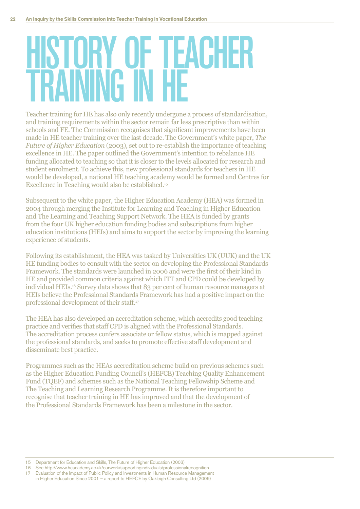# HISTORY OF TEACHER<br>TRAINING IN HF

Teacher training for HE has also only recently undergone a process of standardisation, and training requirements within the sector remain far less prescriptive than within schools and FE. The Commission recognises that significant improvements have been made in HE teacher training over the last decade. The Government's white paper, The Future of Higher Education (2003), set out to re-establish the importance of teaching excellence in HE. The paper outlined the Government's intention to rebalance HE funding allocated to teaching so that it is closer to the levels allocated for research and student enrolment. To achieve this, new professional standards for teachers in HE would be developed, a national HE teaching academy would be formed and Centres for Excellence in Teaching would also be established.<sup>15</sup>

Subsequent to the white paper, the Higher Education Academy (HEA) was formed in 2004 through merging the Institute for Learning and Teaching in Higher Education and The Learning and Teaching Support Network. The HEA is funded by grants from the four UK higher education funding bodies and subscriptions from higher education institutions (HEIs) and aims to support the sector by improving the learning experience of students.

Following its establishment, the HEA was tasked by Universities UK (UUK) and the UK HE funding bodies to consult with the sector on developing the Professional Standards Framework. The standards were launched in 2006 and were the first of their kind in HE and provided common criteria against which ITT and CPD could be developed by individual HEIs.<sup>16</sup> Survey data shows that 83 per cent of human resource managers at HEIs believe the Professional Standards Framework has had a positive impact on the professional development of their staff.<sup>17</sup>

The HEA has also developed an accreditation scheme, which accredits good teaching practice and verifies that staff CPD is aligned with the Professional Standards. The accreditation process confers associate or fellow status, which is mapped against the professional standards, and seeks to promote effective staff development and disseminate best practice.

Programmes such as the HEAs accreditation scheme build on previous schemes such as the Higher Education Funding Council's (HEFCE) Teaching Quality Enhancement Fund (TOEF) and schemes such as the National Teaching Fellowship Scheme and The Teaching and Learning Research Programme. It is therefore important to recognise that teacher training in HE has improved and that the development of the Professional Standards Framework has been a milestone in the sector.

<sup>15</sup> Department for Education and Skills, The Future of Higher Education (2003)

<sup>16</sup> See http://www.heacademy.ac.uk/ourwork/supportingindividuals/professionalrecognition

<sup>17</sup> Evaluation of the Impact of Public Policy and Investments in Human Resource Management in Higher Education Since 2001 - a report to HEFCE by Oakleigh Consulting Ltd (2009)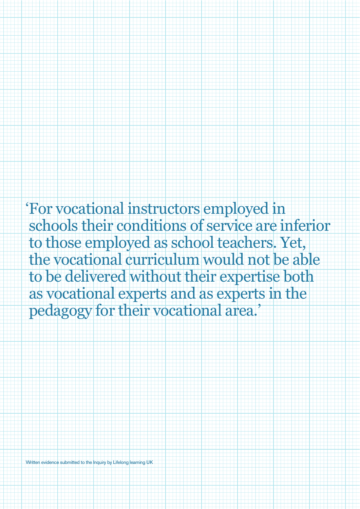'For vocational instructors employed in schools their conditions of service are inferior to those employed as school teachers. Yet, the vocational curriculum would not be able to be delivered without their expertise both as vocational experts and as experts in the pedagogy for their vocational area.'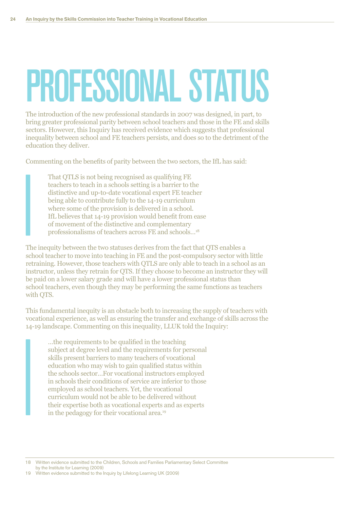# PROFESSIONAL STATUS

The introduction of the new professional standards in 2007 was designed, in part, to bring greater professional parity between school teachers and those in the FE and skills sectors. However, this Inquiry has received evidence which suggests that professional inequality between school and FE teachers persists, and does so to the detriment of the education they deliver.

Commenting on the benefits of parity between the two sectors, the IfL has said:

That QTLS is not being recognised as qualifying FE teachers to teach in a schools setting is a barrier to the distinctive and up-to-date vocational expert FE teacher being able to contribute fully to the 14-19 curriculum where some of the provision is delivered in a school. IfL believes that 14-19 provision would benefit from ease of movement of the distinctive and complementary professionalisms of teachers across FE and schools...<sup>18</sup>

The inequity between the two statuses derives from the fact that QTS enables a school teacher to move into teaching in FE and the post-compulsory sector with little retraining. However, those teachers with QTLS are only able to teach in a school as an instructor, unless they retrain for QTS. If they choose to become an instructor they will be paid on a lower salary grade and will have a lower professional status than school teachers, even though they may be performing the same functions as teachers with QTS.

This fundamental inequity is an obstacle both to increasing the supply of teachers with vocational experience, as well as ensuring the transfer and exchange of skills across the 14-19 landscape. Commenting on this inequality, LLUK told the Inquiry:

...the requirements to be qualified in the teaching. subject at degree level and the requirements for personal skills present barriers to many teachers of vocational education who may wish to gain qualified status within the schools sector...For vocational instructors employed in schools their conditions of service are inferior to those employed as school teachers. Yet, the vocational curriculum would not be able to be delivered without their expertise both as vocational experts and as experts in the pedagogy for their vocational area.<sup>19</sup>

18 Written evidence submitted to the Children, Schools and Families Parliamentary Select Committee by the Institute for Learning (2009)

19 Written evidence submitted to the Inquiry by Lifelong Learning UK (2009)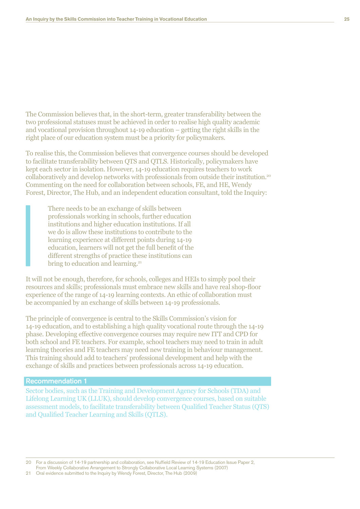The Commission believes that, in the short-term, greater transferability between the two professional statuses must be achieved in order to realise high quality academic and vocational provision throughout  $14$ -19 education  $-$  getting the right skills in the right place of our education system must be a priority for policymakers.

To realise this, the Commission believes that convergence courses should be developed to facilitate transferability between QTS and QTLS. Historically, policymakers have kept each sector in isolation. However, 14-19 education requires teachers to work collaboratively and develop networks with professionals from outside their institution.<sup>20</sup> Commenting on the need for collaboration between schools, FE, and HE, Wendy Forest, Director, The Hub, and an independent education consultant, told the Inquiry:

There needs to be an exchange of skills between professionals working in schools, further education institutions and higher education institutions. If all we do is allow these institutions to contribute to the learning experience at different points during 14-19 education, learners will not get the full benefit of the different strengths of practice these institutions can bring to education and learning.<sup>21</sup>

It will not be enough, therefore, for schools, colleges and HEIs to simply pool their resources and skills; professionals must embrace new skills and have real shop-floor experience of the range of  $14$ -19 learning contexts. An ethic of collaboration must be accompanied by an exchange of skills between 14-19 professionals.

The principle of convergence is central to the Skills Commission's vision for 14-19 education, and to establishing a high quality vocational route through the 14-19 phase. Developing effective convergence courses may require new ITT and CPD for both school and FE teachers. For example, school teachers may need to train in adult Learning theories and FE teachers may need new training in behaviour management. This training should add to teachers' professional development and help with the exchange of skills and practices between professionals across 14-19 education.

### Recommendation 1

Sector bodies, such as the Training and Development Agency for Schools (TDA) and Lifelong Learning UK (LLUK), should develop convergence courses, based on suitable assessment models, to facilitate transferability between Qualified Teacher Status (QTS) and Qualified Teacher Learning and Skills (QTLS).

20 For a discussion of 14-19 partnership and collaboration, see Nuffield Review of 14-19 Education Issue Paper 2,

From Weekly Collaborative Arrangement to Strongly Collaborative Local Learning Systems (2007)

21 Oral evidence submitted to the Inquiry by Wendy Forest, Director, The Hub (2009)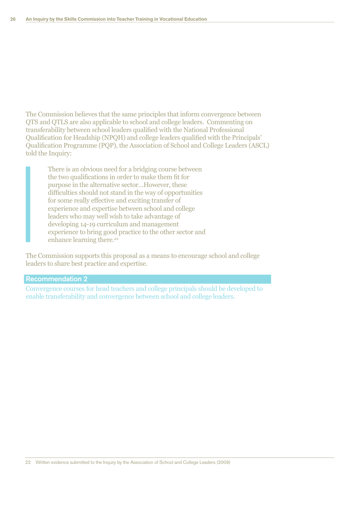The Commission believes that the same principles that inform convergence between QTS and QTLS are also applicable to school and college leaders. Commenting on transferability between school leaders qualified with the National Professional Qualification for Headship (NPQH) and college leaders qualified with the Principals' Qualification Programme (PQP), the Association of School and College Leaders (ASCL) told the Inquiry:

There is an obvious need for a bridging course between the two qualifications in order to make them fit for purpose in the alternative sector...However, these difficulties should not stand in the way of opportunities for some really effective and exciting transfer of experience and expertise between school and college leaders who may well wish to take advantage of developing 14-19 curriculum and management experience to bring good practice to the other sector and enhance learning there.<sup>22</sup>

The Commission supports this proposal as a means to encourage school and college leaders to share best practice and expertise.

### **Recommendation 2**

Convergence courses for head teachers and college principals should be developed to enable transferability and convergence between school and college leaders.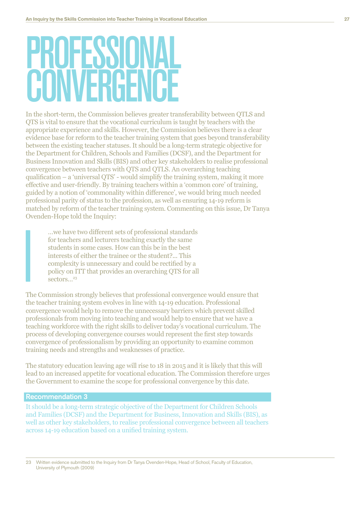# PRUFESSIN

In the short-term, the Commission believes greater transferability between OTLS and QTS is vital to ensure that the vocational curriculum is taught by teachers with the appropriate experience and skills. However, the Commission believes there is a clear evidence base for reform to the teacher training system that goes beyond transferability between the existing teacher statuses. It should be a long-term strategic objective for the Department for Children, Schools and Families (DCSF), and the Department for Business Innovation and Skills (BIS) and other key stakeholders to realise professional convergence between teachers with OTS and OTLS. An overarching teaching qualification  $-$  a 'universal QTS' - would simplify the training system, making it more effective and user-friendly. By training teachers within a 'common core' of training, guided by a notion of 'commonality within difference', we would bring much needed professional parity of status to the profession, as well as ensuring 14-19 reform is matched by reform of the teacher training system. Commenting on this issue, Dr Tanya Ovenden-Hope told the Inquiry:

... we have two different sets of professional standards for teachers and lecturers teaching exactly the same students in some cases. How can this be in the best interests of either the trainee or the student?... This complexity is unnecessary and could be rectified by a policy on ITT that provides an overarching QTS for all sectors. $^{23}$ 

The Commission strongly believes that professional convergence would ensure that the teacher training system evolves in line with 14-19 education. Professional convergence would help to remove the unnecessary barriers which prevent skilled professionals from moving into teaching and would help to ensure that we have a teaching workforce with the right skills to deliver today's vocational curriculum. The process of developing convergence courses would represent the first step towards convergence of professionalism by providing an opportunity to examine common training needs and strengths and weaknesses of practice.

The statutory education leaving age will rise to 18 in 2015 and it is likely that this will lead to an increased appetite for vocational education. The Commission therefore urges the Government to examine the scope for professional convergence by this date.

### **Recommendation 3**

It should be a long-term strategic objective of the Department for Children Schools and Families (DCSF) and the Department for Business, Innovation and Skills (BIS), as well as other key stakeholders, to realise professional convergence between all teachers across 14-19 education based on a unified training system.

Written evidence submitted to the Inquiry from Dr Tanya Ovenden-Hope, Head of School, Faculty of Education,  $23$ University of Plymouth (2009)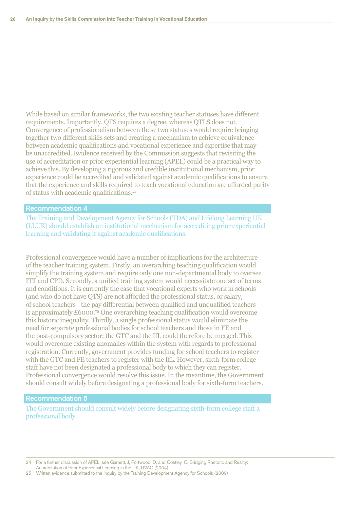While based on similar frameworks, the two existing teacher statuses have different requirements. Importantly, QTS requires a degree, whereas QTLS does not. Convergence of professionalism between these two statuses would require bringing together two different skills sets and creating a mechanism to achieve equivalence between academic qualifications and vocational experience and expertise that may be unaccredited. Evidence received by the Commission suggests that revisiting the use of accreditation or prior experiential learning (APEL) could be a practical way to achieve this. By developing a rigorous and credible institutional mechanism, prior experience could be accredited and validated against academic qualifications to ensure that the experience and skills required to teach vocational education are afforded parity of status with academic qualifications.<sup>24</sup>

### **Recommendation 4**

The Training and Development Agency for Schools (TDA) and Lifelong Learning UK (LLUK) should establish an institutional mechanism for accrediting prior experiential learning and validating it against academic qualifications.

Professional convergence would have a number of implications for the architecture of the teacher training system. Firstly, an overarching teaching qualification would simplify the training system and require only one non-departmental body to oversee ITT and CPD. Secondly, a unified training system would necessitate one set of terms and conditions. It is currently the case that vocational experts who work in schools (and who do not have OTS) are not afforded the professional status, or salary, of school teachers - the pay differential between qualified and unqualified teachers is approximately £6000.<sup>25</sup> One overarching teaching qualification would overcome this historic inequality. Thirdly, a single professional status would eliminate the need for separate professional bodies for school teachers and those in FE and the post-compulsory sector; the GTC and the IfL could therefore be merged. This would overcome existing anomalies within the system with regards to professional registration. Currently, government provides funding for school teachers to register with the GTC and FE teachers to register with the IfL. However, sixth-form college staff have not been designated a professional body to which they can register. Professional convergence would resolve this issue. In the meantime, the Government should consult widely before designating a professional body for sixth-form teachers.

### **Recommendation 5**

The Government should consult widely before designating sixth-form college staff a professional body.

For a further discussion of APEL, see Garnett, J, Portwood, D, and Costley, C, Bridging Rhetoric and Reality:  $24$ 

Accreditation of Prior Experiential Learning in the UK, UVAC (2004)

25 Written evidence submitted to the Inquiry by the Training Development Agency for Schools (2009)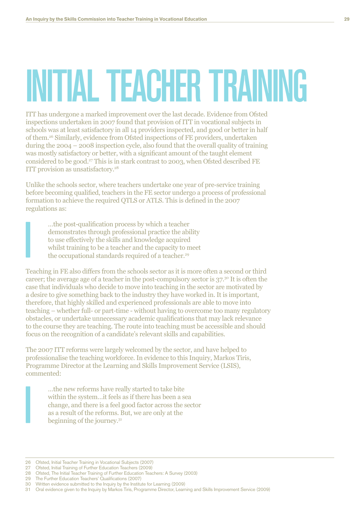## INITIAL TEACHER TRAINING

ITT has undergone a marked improvement over the last decade. Evidence from Ofsted inspections undertaken in 2007 found that provision of ITT in vocational subjects in schools was at least satisfactory in all 14 providers inspected, and good or better in half of them.<sup>26</sup> Similarly, evidence from Ofsted inspections of FE providers, undertaken during the  $2004 - 2008$  inspection cycle, also found that the overall quality of training was mostly satisfactory or better, with a significant amount of the taught element considered to be good.<sup>27</sup> This is in stark contrast to 2003, when Ofsted described FE ITT provision as unsatisfactory.<sup>28</sup>

Unlike the schools sector, where teachers undertake one year of pre-service training before becoming qualified, teachers in the FE sector undergo a process of professional formation to achieve the required QTLS or ATLS. This is defined in the 2007 regulations as:

...the post-qualification process by which a teacher demonstrates through professional practice the ability to use effectively the skills and knowledge acquired whilst training to be a teacher and the capacity to meet the occupational standards required of a teacher.<sup>29</sup>

Teaching in FE also differs from the schools sector as it is more often a second or third career; the average age of a teacher in the post-compulsory sector is  $37<sup>30</sup>$  It is often the case that individuals who decide to move into teaching in the sector are motivated by a desire to give something back to the industry they have worked in. It is important, therefore, that highly skilled and experienced professionals are able to move into teaching – whether full- or part-time - without having to overcome too many regulatory obstacles, or undertake unnecessary academic qualifications that may lack relevance to the course they are teaching. The route into teaching must be accessible and should focus on the recognition of a candidate's relevant skills and capabilities.

The 2007 ITT reforms were largely welcomed by the sector, and have helped to professionalise the teaching workforce. In evidence to this Inquiry, Markos Tiris, Programme Director at the Learning and Skills Improvement Service (LSIS), commented:

...the new reforms have really started to take bite within the system...it feels as if there has been a sea change, and there is a feel good factor across the sector as a result of the reforms. But, we are only at the beginning of the journey. $3<sup>1</sup>$ 

<sup>26</sup> Ofsted, Initial Teacher Training in Vocational Subjects (2007)

<sup>27</sup> Ofsted, Initial Training of Further Education Teachers (2009)

<sup>28</sup> Ofsted, The Initial Teacher Training of Further Education Teachers: A Survey (2003)

<sup>29</sup> The Further Education Teachers' Qualifications (2007)

<sup>30</sup> Written evidence submitted to the Inquiry by the Institute for Learning (2009) 31 Oral evidence given to the Inquiry by Markos Tiris, Programme Director, Learning and Skills Improvement Service (2009)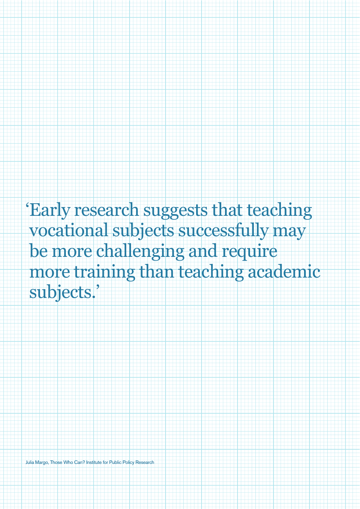'Early research suggests that teaching vocational subjects successfully may be more challenging and require more training than teaching academic subjects.'

Julia Margo, Those Who Can? Institute for Public Policy Research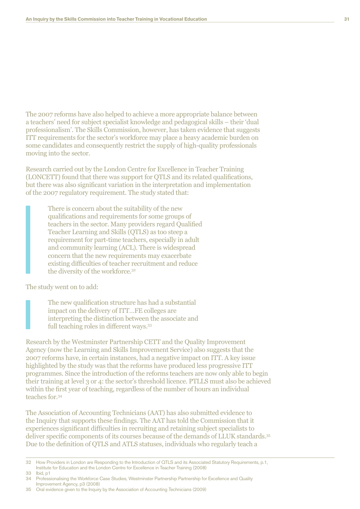The 2007 reforms have also helped to achieve a more appropriate balance between a teachers' need for subject specialist knowledge and pedagogical skills – their 'dual professionalism'. The Skills Commission, however, has taken evidence that suggests ITT requirements for the sector's workforce may place a heavy academic burden on some candidates and consequently restrict the supply of high-quality professionals moving into the sector.

Research carried out by the London Centre for Excellence in Teacher Training (LONCETT) found that there was support for QTLS and its related qualifications, but there was also significant variation in the interpretation and implementation of the 2007 regulatory requirement. The study stated that:

There is concern about the suitability of the new qualifications and requirements for some groups of teachers in the sector. Many providers regard Qualified Teacher Learning and Skills (QTLS) as too steep a requirement for part-time teachers, especially in adult and community learning (ACL). There is widespread concern that the new requirements may exacerbate existing difficulties of teacher recruitment and reduce the diversity of the workforce.<sup>32</sup>

The study went on to add:

The new qualification structure has had a substantial impact on the delivery of ITT...FE colleges are interpreting the distinction between the associate and full teaching roles in different ways.<sup>33</sup>

Research by the Westminster Partnership CETT and the Quality Improvement Agency (now the Learning and Skills Improvement Service) also suggests that the 2007 reforms have, in certain instances, had a negative impact on ITT. A key issue highlighted by the study was that the reforms have produced less progressive ITT programmes. Since the introduction of the reforms teachers are now only able to begin their training at level 3 or 4: the sector's threshold licence. PTLLS must also be achieved within the first year of teaching, regardless of the number of hours an individual teaches for.<sup>34</sup>

The Association of Accounting Technicians (AAT) has also submitted evidence to the Inquiry that supports these findings. The AAT has told the Commission that it experiences significant difficulties in recruiting and retaining subject specialists to deliver specific components of its courses because of the demands of LLUK standards.<sup>35</sup> Due to the definition of QTLS and ATLS statuses, individuals who regularly teach a

33 Ibid, p1

35 Oral evidence given to the Inquiry by the Association of Accounting Technicians (2009)

<sup>32</sup> How Providers in London are Responding to the Introduction of QTLS and its Associated Statutory Requirements, p.1, Institute for Education and the London Centre for Excellence in Teacher Training (2008)

<sup>34</sup> Professionalising the Workforce Case Studies, Westminster Partnership Partnership for Excellence and Quality Improvement Agency, p3 (2008)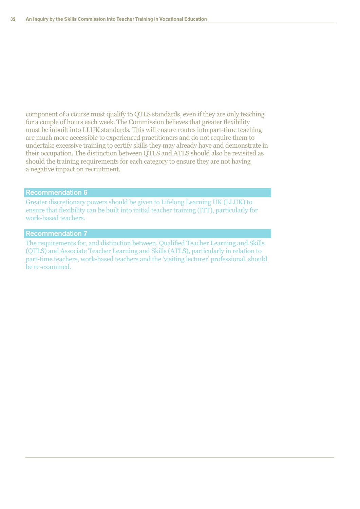component of a course must qualify to QTLS standards, even if they are only teaching for a couple of hours each week. The Commission believes that greater flexibility must be inbuilt into LLUK standards. This will ensure routes into part-time teaching are much more accessible to experienced practitioners and do not require them to undertake excessive training to certify skills they may already have and demonstrate in their occupation. The distinction between QTLS and ATLS should also be revisited as should the training requirements for each category to ensure they are not having a negative impact on recruitment.

### Recommendation 6

Greater discretionary powers should be given to Lifelong Learning UK (LLUK) to ensure that flexibility can be built into initial teacher training  $(TTT)$ , particularly for work-based teachers.

### Recommendation 7

The requirements for, and distinction between, Qualified Teacher Learning and Skills (OTLS) and Associate Teacher Learning and Skills (ATLS), particularly in relation to part-time teachers, work-based teachers and the 'visiting lecturer' professional, should be re-examined.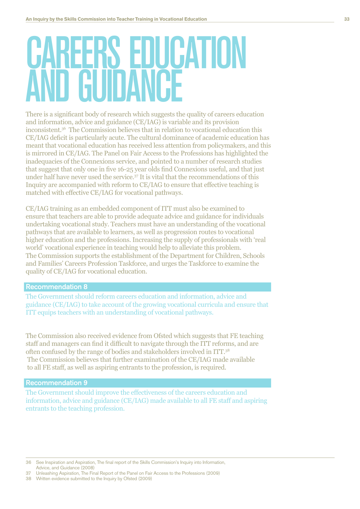### **KLERS EDUCATION GUIDANCE**

There is a significant body of research which suggests the quality of careers education and information, advice and guidance (CE/IAG) is variable and its provision inconsistent.<sup>36</sup> The Commission believes that in relation to vocational education this CE/IAG deficit is particularly acute. The cultural dominance of academic education has meant that vocational education has received less attention from policymakers, and this is mirrored in CE/IAG. The Panel on Fair Access to the Professions has highlighted the inadequacies of the Connexions service, and pointed to a number of research studies that suggest that only one in five 16-25 year olds find Connexions useful, and that just under half have never used the service.<sup>37</sup> It is vital that the recommendations of this Inquiry are accompanied with reform to CE/IAG to ensure that effective teaching is matched with effective CE/IAG for vocational pathways.

CE/IAG training as an embedded component of ITT must also be examined to ensure that teachers are able to provide adequate advice and guidance for individuals undertaking vocational study. Teachers must have an understanding of the vocational pathways that are available to learners, as well as progression routes to vocational higher education and the professions. Increasing the supply of professionals with 'real world' vocational experience in teaching would help to alleviate this problem. The Commission supports the establishment of the Department for Children, Schools and Families' Careers Profession Taskforce, and urges the Taskforce to examine the quality of CE/IAG for vocational education.

### **Recommendation 8**

The Government should reform careers education and information, advice and guidance (CE/IAG) to take account of the growing vocational curricula and ensure that ITT equips teachers with an understanding of vocational pathways.

The Commission also received evidence from Ofsted which suggests that FE teaching staff and managers can find it difficult to navigate through the ITT reforms, and are often confused by the range of bodies and stakeholders involved in ITT.<sup>38</sup> The Commission believes that further examination of the CE/IAG made available to all FE staff, as well as aspiring entrants to the profession, is required.

### **Recommendation 9**

The Government should improve the effectiveness of the careers education and information, advice and guidance (CE/IAG) made available to all FE staff and aspiring entrants to the teaching profession.

36 See Inspiration and Aspiration, The final report of the Skills Commission's Inquiry into Information, Advice, and Guidance (2008)

- 37 Unleashing Aspiration, The Final Report of the Panel on Fair Access to the Professions (2009)
- 38 Written evidence submitted to the Inquiry by Ofsted (2009)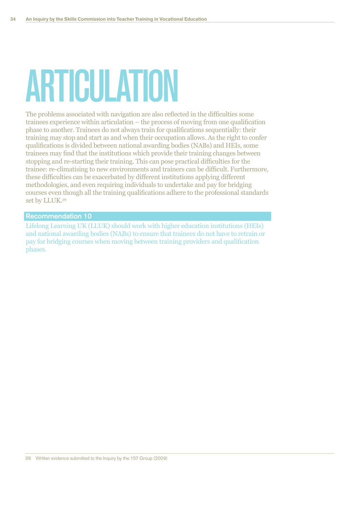## **ARTICULATION**

The problems associated with navigation are also reflected in the difficulties some trainees experience within articulation – the process of moving from one qualification phase to another. Trainees do not always train for qualifications sequentially: their training may stop and start as and when their occupation allows. As the right to confer qualifications is divided between national awarding bodies (NABs) and HEIs, some trainees may find that the institutions which provide their training changes between stopping and re-starting their training. This can pose practical difficulties for the trainee: re-climatising to new environments and trainers can be difficult. Furthermore, these difficulties can be exacerbated by different institutions applying different methodologies, and even requiring individuals to undertake and pay for bridging courses even though all the training qualifications adhere to the professional standards set by LLUK.<sup>39</sup>

### **Recommendation 10**

Lifelong Learning UK (LLUK) should work with higher education institutions (HEIs) and national awarding bodies (NABs) to ensure that trainees do not have to retrain or pay for bridging courses when moving between training providers and qualification phases.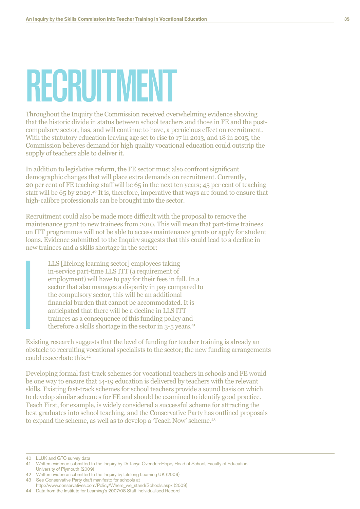### RECRUITMENT

Throughout the Inquiry the Commission received overwhelming evidence showing that the historic divide in status between school teachers and those in FE and the postcompulsory sector, has, and will continue to have, a pernicious effect on recruitment. With the statutory education leaving age set to rise to  $17$  in 2013, and  $18$  in 2015, the Commission believes demand for high quality vocational education could outstrip the supply of teachers able to deliver it.

In addition to legislative reform, the FE sector must also confront significant demographic changes that will place extra demands on recruitment. Currently, 20 per cent of FE teaching staff will be 65 in the next ten years; 45 per cent of teaching staff will be  $65$  by  $2029.^{40}$  It is, therefore, imperative that ways are found to ensure that high-calibre professionals can be brought into the sector.

Recruitment could also be made more difficult with the proposal to remove the maintenance grant to new trainees from 2010. This will mean that part-time trainees on ITT programmes will not be able to access maintenance grants or apply for student loans. Evidence submitted to the Inquiry suggests that this could lead to a decline in new trainees and a skills shortage in the sector:

LLS *(lifelong learning sector)* employees taking in-service part-time LLS ITT (a requirement of employment) will have to pay for their fees in full. In a sector that also manages a disparity in pay compared to the compulsory sector, this will be an additional financial burden that cannot be accommodated. It is anticipated that there will be a decline in LLS ITT trainees as a consequence of this funding policy and therefore a skills shortage in the sector in  $3-5$  years.<sup>41</sup>

Existing research suggests that the level of funding for teacher training is already an obstacle to recruiting vocational specialists to the sector; the new funding arrangements could exacerbate this. $42$ 

Developing formal fast-track schemes for vocational teachers in schools and FE would be one way to ensure that 14-19 education is delivered by teachers with the relevant skills. Existing fast-track schemes for school teachers provide a sound basis on which to develop similar schemes for FE and should be examined to identify good practice. Teach First, for example, is widely considered a successful scheme for attracting the best graduates into school teaching, and the Conservative Party has outlined proposals to expand the scheme, as well as to develop a 'Teach Now' scheme.<sup>43</sup>

40 LLUK and GTC survey data

- 42 Written evidence submitted to the Inquiry by Lifelong Learning UK (2009)
- 43 See Conservative Party draft manifesto for schools at http://www.conservatives.com/Policy/Where\_we\_stand/Schools.aspx (2009)

44 Data from the Institute for Learning's 2007/08 Staff Individualised Record

<sup>41</sup> Written evidence submitted to the Inquiry by Dr Tanya Ovenden-Hope, Head of School, Faculty of Education, University of Plymouth (2009)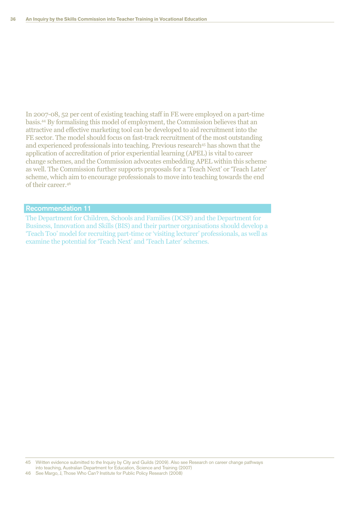In 2007-08, 52 per cent of existing teaching staff in FE were employed on a part-time basis.<sup>44</sup> By formalising this model of employment, the Commission believes that an attractive and effective marketing tool can be developed to aid recruitment into the FE sector. The model should focus on fast-track recruitment of the most outstanding and experienced professionals into teaching. Previous research<sup>45</sup> has shown that the application of accreditation of prior experiential learning (APEL) is vital to career change schemes, and the Commission advocates embedding APEL within this scheme as well. The Commission further supports proposals for a 'Teach Next' or 'Teach Later' scheme, which aim to encourage professionals to move into teaching towards the end of their career.<sup>46</sup>

### **Recommendation 11**

The Department for Children, Schools and Families (DCSF) and the Department for Business, Innovation and Skills (BIS) and their partner organisations should develop a "Teach Too' model for recruiting part-time or 'visiting lecturer' professionals, as well as examine the potential for 'Teach Next' and 'Teach Later' schemes.

Written evidence submitted to the Inquiry by City and Guilds (2009). Also see Research on career change pathways  $45$ into teaching, Australian Department for Education, Science and Training (2007)

<sup>46</sup> See Margo, J, Those Who Can? Institute for Public Policy Research (2008)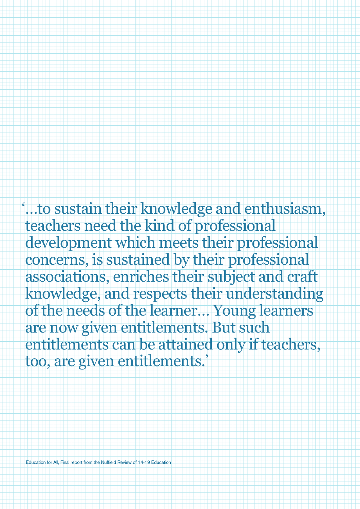...to sustain their knowledge and enthusiasm, teachers need the kind of professional development which meets their professional concerns, is sustained by their professional associations, enriches their subject and craft knowledge, and respects their understanding of the needs of the learner... Young learners are now given entitlements. But such entitlements can be attained only if teachers, too, are given entitlements.'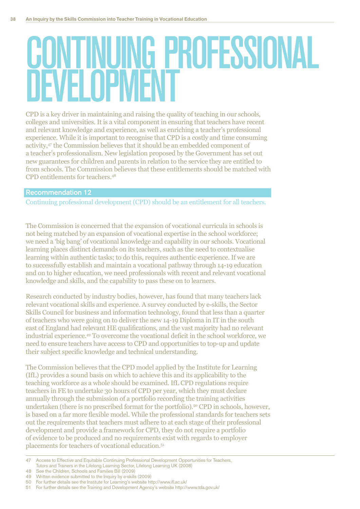### CONTINUING PROFESSIONAL **IFVEI NPIVIENT**

CPD is a key driver in maintaining and raising the quality of teaching in our schools, colleges and universities. It is a vital component in ensuring that teachers have recent and relevant knowledge and experience, as well as enriching a teacher's professional experience. While it is important to recognise that CPD is a costly and time consuming activity,<sup>47</sup> the Commission believes that it should be an embedded component of a teacher's professionalism. New legislation proposed by the Government has set out new guarantees for children and parents in relation to the service they are entitled to from schools. The Commission believes that these entitlements should be matched with CPD entitlements for teachers.<sup>48</sup>

### **Recommendation 12**

Continuing professional development (CPD) should be an entitlement for all teachers.

The Commission is concerned that the expansion of vocational curricula in schools is not being matched by an expansion of vocational expertise in the school workforce; we need a 'big bang' of vocational knowledge and capability in our schools. Vocational learning places distinct demands on its teachers, such as the need to contextualise learning within authentic tasks; to do this, requires authentic experience. If we are to successfully establish and maintain a vocational pathway through 14-19 education and on to higher education, we need professionals with recent and relevant vocational knowledge and skills, and the capability to pass these on to learners.

Research conducted by industry bodies, however, has found that many teachers lack relevant vocational skills and experience. A survey conducted by e-skills, the Sector Skills Council for business and information technology, found that less than a quarter of teachers who were going on to deliver the new 14-19 Diploma in IT in the south east of England had relevant HE qualifications, and the vast majority had no relevant industrial experience.<sup>49</sup> To overcome the vocational deficit in the school workforce, we need to ensure teachers have access to CPD and opportunities to top-up and update their subject specific knowledge and technical understanding.

The Commission believes that the CPD model applied by the Institute for Learning (IfL) provides a sound basis on which to achieve this and its applicability to the teaching workforce as a whole should be examined. If LCPD regulations require teachers in FE to undertake 30 hours of CPD per year, which they must declare annually through the submission of a portfolio recording the training activities undertaken (there is no prescribed format for the portfolio).<sup>50</sup> CPD in schools, however, is based on a far more flexible model. While the professional standards for teachers sets out the requirements that teachers must adhere to at each stage of their professional development and provide a framework for CPD, they do not require a portfolio of evidence to be produced and no requirements exist with regards to employer placements for teachers of vocational education.<sup>51</sup>

49 Written evidence submitted to the Inquiry by e-skills (2009)

 $\overline{47}$ Access to Effective and Equitable Continuing Professional Development Opportunities for Teachers, Tutors and Trainers in the Lifelong Learning Sector, Lifelong Learning UK (2008)

<sup>48</sup> See the Children, Schools and Families Bill (2009)

<sup>50</sup> For further details see the Institute for Learning's website http://www.ifl.ac.uk/

<sup>51</sup> For further details see the Training and Development Agency's website http://www.tda.gov.uk/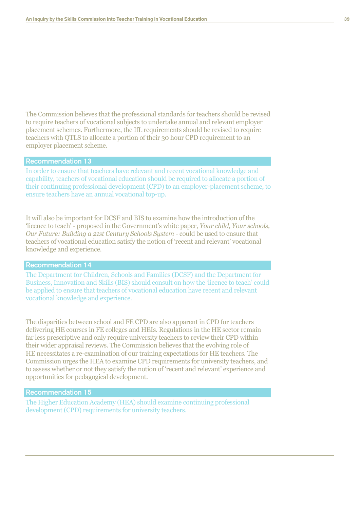The Commission believes that the professional standards for teachers should be revised to require teachers of vocational subjects to undertake annual and relevant employer placement schemes. Furthermore, the IfL requirements should be revised to require teachers with QTLS to allocate a portion of their 30 hour CPD requirement to an employer placement scheme.

### **Recommendation 13**

In order to ensure that teachers have relevant and recent vocational knowledge and capability, teachers of vocational education should be required to allocate a portion of their continuing professional development (CPD) to an employer-placement scheme, to ensure teachers have an annual vocational top-up.

It will also be important for DCSF and BIS to examine how the introduction of the 'licence to teach' - proposed in the Government's white paper. Your child. Your schools. Our Future: Building a 21st Century Schools System - could be used to ensure that teachers of vocational education satisfy the notion of 'recent and relevant' vocational knowledge and experience.

### **Recommendation 14**

The Department for Children, Schools and Families (DCSF) and the Department for Business, Innovation and Skills (BIS) should consult on how the 'licence to teach' could be applied to ensure that teachers of vocational education have recent and relevant vocational knowledge and experience.

The disparities between school and FE CPD are also apparent in CPD for teachers delivering HE courses in FE colleges and HEIs. Regulations in the HE sector remain far less prescriptive and only require university teachers to review their CPD within their wider appraisal reviews. The Commission believes that the evolving role of HE necessitates a re-examination of our training expectations for HE teachers. The Commission urges the HEA to examine CPD requirements for university teachers, and to assess whether or not they satisfy the notion of 'recent and relevant' experience and opportunities for pedagogical development.

### **Recommendation 15**

The Higher Education Academy (HEA) should examine continuing professional development (CPD) requirements for university teachers.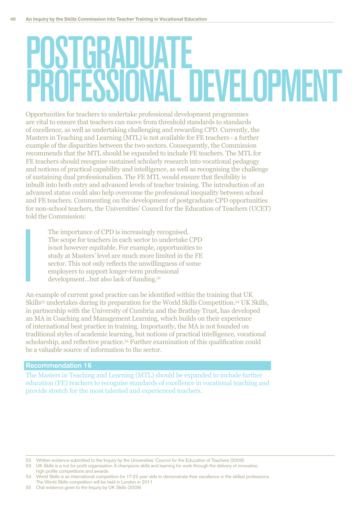### POSTGRADUATE **MEESSIONAL DEVELOPMENT**

Opportunities for teachers to undertake professional development programmes are vital to ensure that teachers can move from threshold standards to standards of excellence, as well as undertaking challenging and rewarding CPD. Currently, the Masters in Teaching and Learning (MTL) is not available for FE teachers - a further example of the disparities between the two sectors. Consequently, the Commission recommends that the MTL should be expanded to include FE teachers. The MTL for FE teachers should recognise sustained scholarly research into vocational pedagogy and notions of practical capability and intelligence, as well as recognising the challenge of sustaining dual professionalism. The FE MTL would ensure that flexibility is inbuilt into both entry and advanced levels of teacher training. The introduction of an advanced status could also help overcome the professional inequality between school and FE teachers. Commenting on the development of postgraduate CPD opportunities for non-school teachers, the Universities' Council for the Education of Teachers (UCET) told the Commission:

The importance of CPD is increasingly recognised. The scope for teachers in each sector to undertake CPD is not however equitable. For example, opportunities to study at Masters' level are much more limited in the FE sector. This not only reflects the unwillingness of some employers to support longer-term professional development...but also lack of funding.<sup>52</sup>

An example of current good practice can be identified within the training that UK Skills<sup>53</sup> undertakes during its preparation for the World Skills Competition.<sup>54</sup> UK Skills, in partnership with the University of Cumbria and the Brathay Trust, has developed an MA in Coaching and Management Learning, which builds on their experience of international best practice in training. Importantly, the MA is not founded on traditional styles of academic learning, but notions of practical intelligence, vocational scholarship, and reflective practice.<sup>55</sup> Further examination of this qualification could be a valuable source of information to the sector.

### Recommendation 16

The Masters in Teaching and Learning (MTL) should be expanded to include further education (FE) teachers to recognise standards of excellence in vocational teaching and provide stretch for the most talented and experienced teachers.

52 Written evidence submitted to the Inquiry by the Universities' Council for the Education of Teachers (2009)

<sup>53</sup> UK Skills is a not for profit organisation. It champions skills and learning for work through the delivery of innovative, high profile competitions and awards

<sup>54</sup> World Skills is an international competition for 17-22 year olds to demonstrate their excellence in the skilled professions. The World Skills competition will be held in London in 2011

<sup>55</sup> Oral evidence given to the Inquiry by UK Skills (2009)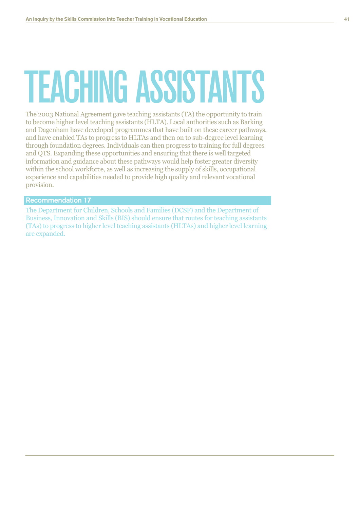# **TEACHING ASSISTANTS**

The 2003 National Agreement gave teaching assistants (TA) the opportunity to train to become higher level teaching assistants (HLTA). Local authorities such as Barking and Dagenham have developed programmes that have built on these career pathways, and have enabled TAs to progress to HLTAs and then on to sub-degree level learning through foundation degrees. Individuals can then progress to training for full degrees and QTS. Expanding these opportunities and ensuring that there is well targeted information and guidance about these pathways would help foster greater diversity within the school workforce, as well as increasing the supply of skills, occupational experience and capabilities needed to provide high quality and relevant vocational provision.

**Recommendation 17** 

The Department for Children, Schools and Families (DCSF) and the Department of Business, Innovation and Skills (BIS) should ensure that routes for teaching assistants (TAs) to progress to higher level teaching assistants (HLTAs) and higher level learning are expanded.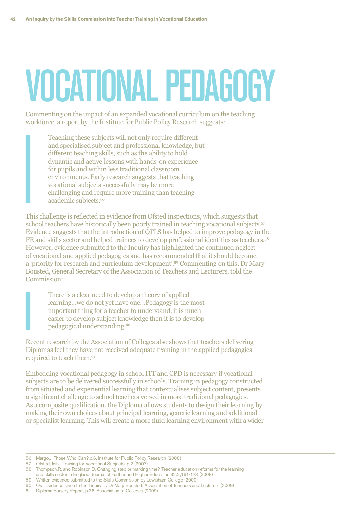## VOCATIONAL PEDAGOGY

Commenting on the impact of an expanded vocational curriculum on the teaching workforce, a report by the Institute for Public Policy Research suggests:

Teaching these subjects will not only require different and specialised subject and professional knowledge, but different teaching skills, such as the ability to hold dynamic and active lessons with hands-on experience for pupils and within less traditional classroom environments. Early research suggests that teaching vocational subjects successfully may be more challenging and require more training than teaching academic subjects.<sup>56</sup>

This challenge is reflected in evidence from Ofsted inspections, which suggests that school teachers have historically been poorly trained in teaching vocational subjects.<sup>57</sup> Evidence suggests that the introduction of QTLS has helped to improve pedagogy in the FE and skills sector and helped trainees to develop professional identities as teachers.<sup>58</sup> However, evidence submitted to the Inquiry has highlighted the continued neglect of vocational and applied pedagogies and has recommended that it should become a 'priority for research and curriculum development'.<sup>59</sup> Commenting on this, Dr Mary Bousted, General Secretary of the Association of Teachers and Lecturers, told the Commission:

There is a clear need to develop a theory of applied learning...we do not yet have one...Pedagogy is the most important thing for a teacher to understand, it is much easier to develop subject knowledge then it is to develop pedagogical understanding.<sup>60</sup>

Recent research by the Association of Colleges also shows that teachers delivering Diplomas feel they have not received adequate training in the applied pedagogies required to teach them.<sup>61</sup>

Embedding vocational pedagogy in school ITT and CPD is necessary if vocational subjects are to be delivered successfully in schools. Training in pedagogy constructed from situated and experiential learning that contextualises subject content, presents a significant challenge to school teachers versed in more traditional pedagogies. As a composite qualification, the Diploma allows students to design their learning by making their own choices about principal learning, generic learning and additional or specialist learning. This will create a more fluid learning environment with a wider

<sup>56</sup> Margo,J, Those Who Can?,p.6, Institute for Public Policy Research (2008)

<sup>57</sup> Ofsted, Initial Training for Vocational Subjects, p.2 (2007)

<sup>58</sup> Thompson,R, and Robinson,D, Changing step or marking time? Teacher education reforms for the learning and skills sector in England, Journal of Further and Higher Education,32:2,161-173 (2008)

<sup>59</sup> Written evidence submitted to the Skills Commission by Lewisham College (2009)

<sup>60</sup> Oral evidence given to the Inquiry by Dr Mary Bousted, Association of Teachers and Lecturers (2009)

<sup>61</sup> Diploma Survery Report, p.36, Association of Colleges (2009)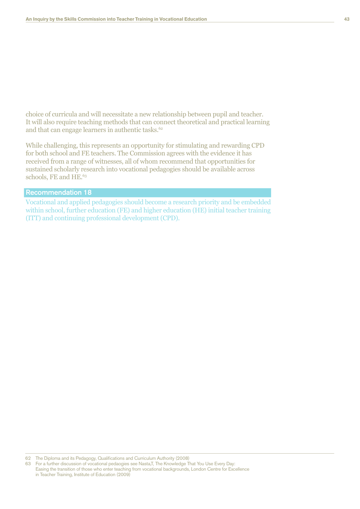choice of curricula and will necessitate a new relationship between pupil and teacher. It will also require teaching methods that can connect theoretical and practical learning and that can engage learners in authentic tasks.<sup>62</sup>

While challenging, this represents an opportunity for stimulating and rewarding CPD for both school and FE teachers. The Commission agrees with the evidence it has received from a range of witnesses, all of whom recommend that opportunities for sustained scholarly research into vocational pedagogies should be available across schools, FE and HE.<sup>63</sup>

### Recommendation 18

Vocational and applied pedagogies should become a research priority and be embedded within school, further education (FE) and higher education (HE) initial teacher training (ITT) and continuing professional development (CPD).

62 The Diploma and its Pedagogy, Qualifications and Curriculum Authority (2008)

63 For a further discussion of vocational pedaogies see Nasta,T, The Knowledge That You Use Every Day: Easing the transition of those who enter teaching from vocational backgrounds, London Centre for Excellence in Teacher Training, Institute of Education (2009)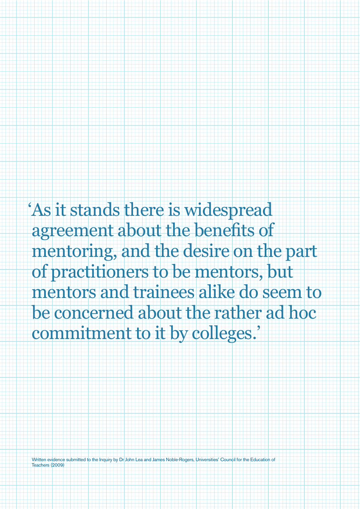'As it stands there is widespread agreement about the benefits of mentoring, and the desire on the part of practitioners to be mentors, but mentors and trainees alike do seem to be concerned about the rather ad hoc commitment to it by colleges.'

Written evidence submitted to the Inquiry by Dr John Lea and James Noble-Rogers, Universities' Council for the Education of Teachers (2009)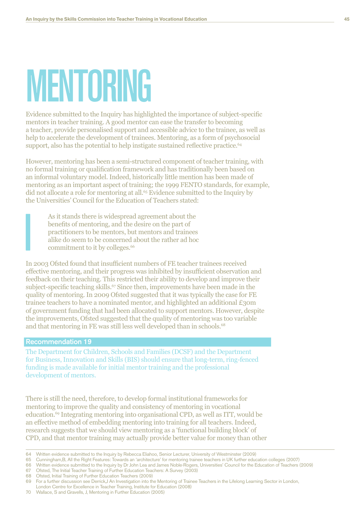### **MENTORING**

Evidence submitted to the Inquiry has highlighted the importance of subject-specific mentors in teacher training. A good mentor can ease the transfer to becoming a teacher, provide personalised support and accessible advice to the trainee, as well as help to accelerate the development of trainees. Mentoring, as a form of psychosocial support, also has the potential to help instigate sustained reflective practice.<sup>64</sup>

However, mentoring has been a semi-structured component of teacher training, with no formal training or qualification framework and has traditionally been based on an informal voluntary model. Indeed, historically little mention has been made of mentoring as an important aspect of training; the 1999 FENTO standards, for example, did not allocate a role for mentoring at all.<sup>65</sup> Evidence submitted to the Inquiry by the Universities' Council for the Education of Teachers stated:

As it stands there is widespread agreement about the benefits of mentoring, and the desire on the part of practitioners to be mentors, but mentors and trainees alike do seem to be concerned about the rather ad hoc commitment to it by colleges.<sup>66</sup>

In 2003 Ofsted found that insufficient numbers of FE teacher trainees received effective mentoring, and their progress was inhibited by insufficient observation and feedback on their teaching. This restricted their ability to develop and improve their subject-specific teaching skills.<sup>67</sup> Since then, improvements have been made in the quality of mentoring. In 2009 Ofsted suggested that it was typically the case for FE trainee teachers to have a nominated mentor, and highlighted an additional £30m of government funding that had been allocated to support mentors. However, despite the improvements, Ofsted suggested that the quality of mentoring was too variable and that mentoring in FE was still less well developed than in schools.<sup>68</sup>

### **Recommendation 19**

The Department for Children, Schools and Families (DCSF) and the Department for Business, Innovation and Skills (BIS) should ensure that long-term, ring-fenced funding is made available for initial mentor training and the professional development of mentors.

There is still the need, therefore, to develop formal institutional frameworks for mentoring to improve the quality and consistency of mentoring in vocational education.<sup>69</sup> Integrating mentoring into organisational CPD, as well as ITT, would be an effective method of embedding mentoring into training for all teachers. Indeed, research suggests that we should view mentoring as a 'functional building block' of CPD, and that mentor training may actually provide better value for money than other

<sup>64</sup> Written evidence submitted to the Inquiry by Rebecca Eliahoo, Senior Lecturer, University of Westminster (2009)

<sup>65</sup> Cunningham, B, All the Right Features: Towards an 'architecture' for mentoring trainee teachers in UK further education colleges (2007)

<sup>66</sup> Written evidence submitted to the Inquiry by Dr John Lea and James Noble-Rogers, Universities' Council for the Education of Teachers (2009)

<sup>67</sup> Ofsted, The Initial Teacher Training of Further Education Teachers: A Survey (2003)

<sup>68</sup> Ofsted, Initial Training of Further Education Teachers (2009)

<sup>69</sup> For a further discussion see Derrick, J An Investigation into the Mentoring of Trainee Teachers in the Lifelong Learning Sector in London, London Centre for Excellence in Teacher Training, Institute for Education (2008)

<sup>70</sup> Wallace, S and Gravells, J, Mentoring in Further Education (2005)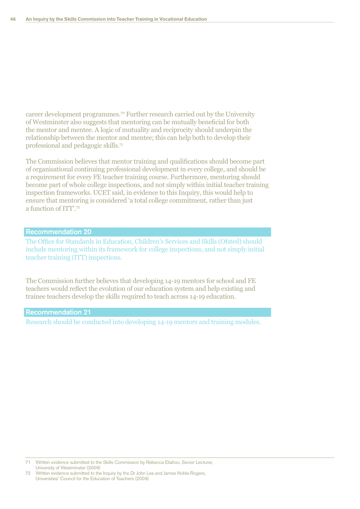career development programmes.<sup>70</sup> Further research carried out by the University of Westminster also suggests that mentoring can be mutually beneficial for both the mentor and mentee. A logic of mutuality and reciprocity should underpin the relationship between the mentor and mentee; this can help both to develop their professional and pedagogic skills. $7<sup>1</sup>$ 

The Commission believes that mentor training and qualifications should become part of organisational continuing professional development in every college, and should be a requirement for every FE teacher training course. Furthermore, mentoring should become part of whole college inspections, and not simply within initial teacher training inspection frameworks. UCET said, in evidence to this Inquiry, this would help to ensure that mentoring is considered 'a total college commitment, rather than just a function of ITT'.72

### Recommendation 20

The Office for Standards in Education, Children's Services and Skills (Ofsted) should include mentoring within its framework for college inspections, and not simply initial teacher training (ITT) inspections.

The Commission further believes that developing 14-19 mentors for school and FE teachers would reflect the evolution of our education system and help existing and trainee teachers develop the skills required to teach across 14-19 education.

### Recommendation 21

Research should be conducted into developing 14-19 mentors and training modules.

<sup>71</sup> Written evidence submitted to the Skills Commission by Rebecca Eliahoo, Senior Lecturer, University of Westminster (2009)

Written evidence submitted to the Inquiry by the Dr John Lea and James Noble-Rogers, Universities' Council for the Education of Teachers (2009)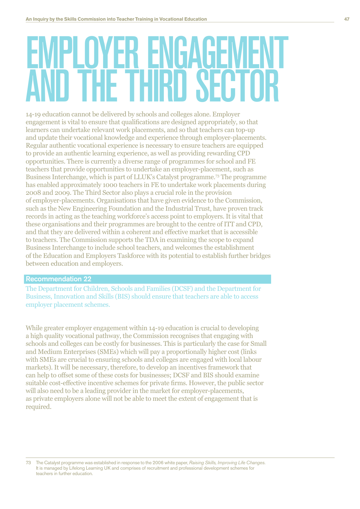### **YEK ENGAGE IF THIRN SECT**

14-19 education cannot be delivered by schools and colleges alone. Employer engagement is vital to ensure that qualifications are designed appropriately, so that learners can undertake relevant work placements, and so that teachers can top-up and update their vocational knowledge and experience through employer-placements. Regular authentic vocational experience is necessary to ensure teachers are equipped to provide an authentic learning experience, as well as providing rewarding CPD opportunities. There is currently a diverse range of programmes for school and FE teachers that provide opportunities to undertake an employer-placement, such as Business Interchange, which is part of LLUK's Catalyst programme.<sup>73</sup> The programme has enabled approximately 1000 teachers in FE to undertake work placements during 2008 and 2009. The Third Sector also plays a crucial role in the provision of employer-placements. Organisations that have given evidence to the Commission, such as the New Engineering Foundation and the Industrial Trust, have proven track records in acting as the teaching workforce's access point to employers. It is vital that these organisations and their programmes are brought to the centre of ITT and CPD, and that they are delivered within a coherent and effective market that is accessible to teachers. The Commission supports the TDA in examining the scope to expand Business Interchange to include school teachers, and welcomes the establishment of the Education and Employers Taskforce with its potential to establish further bridges between education and employers.

### **Recommendation 22**

The Department for Children. Schools and Families (DCSF) and the Department for Business, Innovation and Skills (BIS) should ensure that teachers are able to access employer placement schemes.

While greater employer engagement within 14-19 education is crucial to developing a high quality vocational pathway, the Commission recognises that engaging with schools and colleges can be costly for businesses. This is particularly the case for Small and Medium Enterprises (SMEs) which will pay a proportionally higher cost (links with SMEs are crucial to ensuring schools and colleges are engaged with local labour markets). It will be necessary, therefore, to develop an incentives framework that can help to offset some of these costs for businesses; DCSF and BIS should examine suitable cost-effective incentive schemes for private firms. However, the public sector will also need to be a leading provider in the market for employer-placements, as private employers alone will not be able to meet the extent of engagement that is required.

The Catalyst programme was established in response to the 2006 white paper, Raising Skills, Improving Life Changes. 73 It is managed by Lifelong Learning UK and comprises of recruitment and professional development schemes for teachers in further education.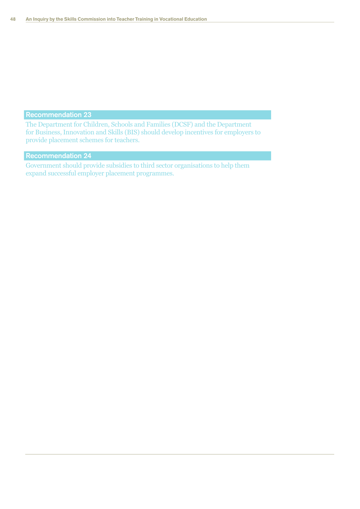The Department for Children, Schools and Families (DCSF) and the Department for Business, Innovation and Skills (BIS) should develop incentives for employers to provide placement schemes for teachers.

### Recommendation 24

Government should provide subsidies to third sector organisations to help them expand successful employer placement programmes.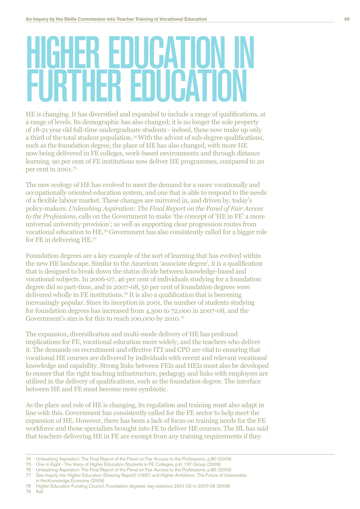### **R EDUCAT TER EDUCATION**

HE is changing. It has diversified and expanded to include a range of qualifications, at a range of levels. Its demographic has also changed; it is no longer the sole property of 18-21 year old full-time undergraduate students - indeed, these now make up only a third of the total student population.<sup>74</sup> With the advent of sub-degree qualifications, such as the foundation degree, the place of HE has also changed, with more HE now being delivered in FE colleges, work-based environments and through distance learning. 90 per cent of FE institutions now deliver HE programmes, compared to 20 per cent in  $2001$ .<sup>75</sup>

The new ecology of HE has evolved to meet the demand for a more vocationally and occupationally oriented education system, and one that is able to respond to the needs of a flexible labour market. These changes are mirrored in, and driven by, today's policy-makers. Unleashing Aspiration: The Final Report on the Panel of Fair Access *to the Professions*, calls on the Government to make 'the concept of 'HE in FE' a more universal university provision'; as well as supporting clear progression routes from vocational education to HE.<sup>76</sup> Government has also consistently called for a bigger role for FE in delivering HE. $77$ 

Foundation degrees are a key example of the sort of learning that has evolved within the new HE landscape. Similar to the American 'associate degree', it is a qualification that is designed to break down the status divide between knowledge-based and vocational subjects. In 2006-07, 46 per cent of individuals studying for a foundation degree did so part-time, and in  $2007-08$ , 56 per cent of foundation degrees were delivered wholly in FE institutions.<sup>78</sup> It is also a qualification that is becoming increasingly popular. Since its inception in 2001, the number of students studying for foundation degrees has increased from  $4,300$  to  $72,000$  in  $2007$ -08, and the Government's aim is for this to reach 100,000 by 2010.<sup>79</sup>

The expansion, diversification and multi-mode delivery of HE has profound implications for FE, vocational education more widely, and the teachers who deliver it. The demands on recruitment and effective ITT and CPD are vital to ensuring that yocational HE courses are delivered by individuals with recent and relevant vocational knowledge and capability. Strong links between FEIs and HEIs must also be developed to ensure that the right teaching infrastructure, pedagogy and links with employers are utilised in the delivery of qualifications, such as the foundation degree. The interface between HE and FE must become more symbiotic.

As the place and role of HE is changing, its regulation and training must also adapt in line with this. Government has consistently called for the FE sector to help meet the expansion of HE. However, there has been a lack of focus on training needs for the FE workforce and those specialists brought into FE to deliver HE courses. The IfL has said that teachers delivering HE in FE are exempt from any training requirements if they

78 Higher Education Funding Council, Foundation degrees: key statistics 2001-02 to 2007-08 (2008) 79 Ibid

<sup>74</sup> Unleashing Aspiration: The Final Report of the Panel on Fair Access to the Professions, p.80 (2009)

<sup>75</sup> One in Eight - The Voice of Higher Education Students in FE Colleges, p.6, 157 Group (2009)

<sup>76</sup> Unleashing Aspiration: The Final Report of the Panel on Fair Access to the Professions, p.85 (2009)

See Inquiry into Higher Education (Dearing Report) (1997) and Higher Ambitions: The Future of Universities in theKnowledge Economy (2009)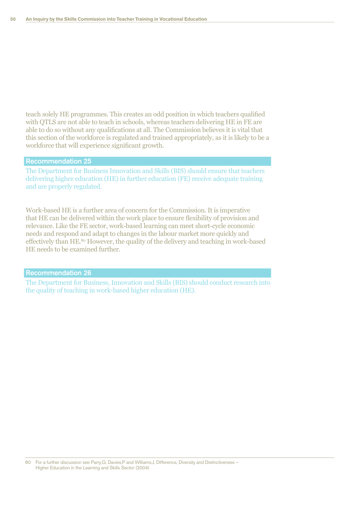teach solely HE programmes. This creates an odd position in which teachers qualified with QTLS are not able to teach in schools, whereas teachers delivering HE in FE are able to do so without any qualifications at all. The Commission believes it is vital that this section of the workforce is regulated and trained appropriately, as it is likely to be a workforce that will experience significant growth.

### Recommendation 25

The Department for Business Innovation and Skills (BIS) should ensure that teachers delivering higher education (HE) in further education (FE) receive adequate training and are properly regulated.

Work-based HE is a further area of concern for the Commission. It is imperative that HE can be delivered within the work place to ensure flexibility of provision and relevance. Like the FE sector, work-based learning can meet short-cycle economic needs and respond and adapt to changes in the labour market more quickly and effectively than HE.<sup>80</sup> However, the quality of the delivery and teaching in work-based HE needs to be examined further.

### Recommendation 26

The Department for Business, Innovation and Skills (BIS) should conduct research into the quality of teaching in work-based higher education (HE).

80 For a further discussion see Parry,G, Davies,P and Williams,J, Difference, Diversity and Distinctiveness – Higher Education in the Learning and Skills Sector (2004)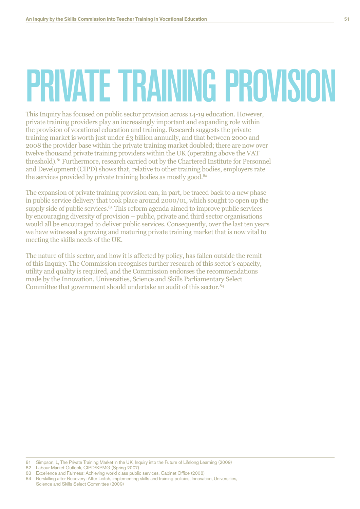## PRIVATE TRAINING PROVISION

This Inquiry has focused on public sector provision across 14-19 education. However, private training providers play an increasingly important and expanding role within the provision of vocational education and training. Research suggests the private training market is worth just under £3 billion annually, and that between 2000 and 2008 the provider base within the private training market doubled; there are now over twelve thousand private training providers within the UK (operating above the VAT) threshold).<sup>81</sup> Furthermore, research carried out by the Chartered Institute for Personnel and Development (CIPD) shows that, relative to other training bodies, employers rate the services provided by private training bodies as mostly good.<sup>82</sup>

The expansion of private training provision can, in part, be traced back to a new phase in public service delivery that took place around 2000/01, which sought to open up the supply side of public services.<sup>83</sup> This reform agenda aimed to improve public services by encouraging diversity of provision – public, private and third sector organisations would all be encouraged to deliver public services. Consequently, over the last ten years we have witnessed a growing and maturing private training market that is now vital to meeting the skills needs of the UK.

The nature of this sector, and how it is affected by policy, has fallen outside the remit of this Inquiry. The Commission recognises further research of this sector's capacity. utility and quality is required, and the Commission endorses the recommendations made by the Innovation, Universities, Science and Skills Parliamentary Select Committee that government should undertake an audit of this sector.<sup>84</sup>

<sup>81</sup> Simpson, L, The Private Training Market in the UK, Inquiry into the Future of Lifelong Learning (2009)

<sup>82</sup> Labour Market Outlook, CIPD/KPMG (Spring 2007)

<sup>83</sup> Excellence and Fairness: Achieving world class public services, Cabinet Office (2008)

<sup>84</sup> Re-skilling after Recovery: After Leitch, implementing skills and training policies, Innovation, Universities, Science and Skills Select Committee (2009)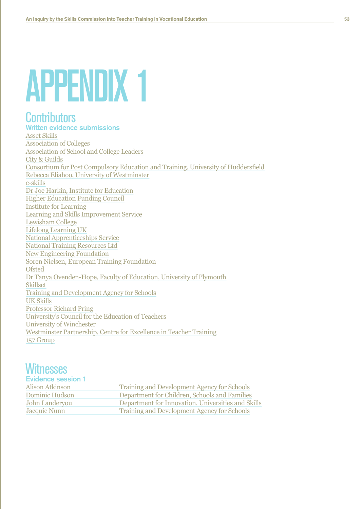### **APPENDIX 1**

### **Contributors**

**Written evidence submissions Asset Skills Association of Colleges** Association of School and College Leaders City & Guilds Consortium for Post Compulsory Education and Training, University of Huddersfield Rebecca Eliahoo, University of Westminster e-skills Dr Joe Harkin, Institute for Education **Higher Education Funding Council Institute for Learning** Learning and Skills Improvement Service Lewisham College **Lifelong Learning UK National Apprenticeships Service National Training Resources Ltd New Engineering Foundation** Soren Nielsen, European Training Foundation **Ofsted** Dr Tanya Ovenden-Hope, Faculty of Education, University of Plymouth **Skillset** Training and Development Agency for Schools **UK Skills Professor Richard Pring** University's Council for the Education of Teachers University of Winchester Westminster Partnership, Centre for Excellence in Teacher Training 157 Group

### **Witnesses**

### **Evidence session 1** Alison Atkinson **Training and Development Agency for Schools** Department for Children, Schools and Families **Dominic Hudson** Department for Innovation, Universities and Skills John Landervou Jacquie Nunn **Training and Development Agency for Schools**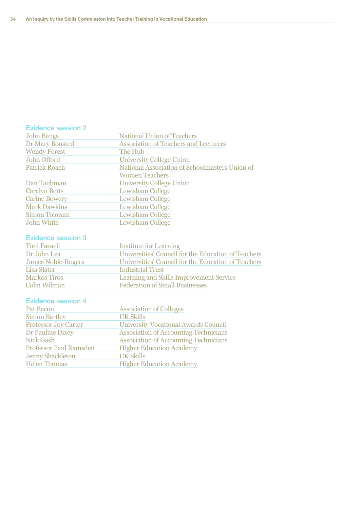### Evidence session 2

| National Association of Schoolmasters Union of |
|------------------------------------------------|
|                                                |
|                                                |
|                                                |
|                                                |
|                                                |
|                                                |
|                                                |
|                                                |

### Evidence session 3

| Toni Fazaeli              | <b>Institute for Learning</b>                       |
|---------------------------|-----------------------------------------------------|
| Dr John Lea               | Universities' Council for the Education of Teachers |
| <b>James Noble-Rogers</b> | Universities' Council for the Education of Teachers |
| Lisa Slater               | <b>Industrial Trust</b>                             |
| <b>Markos Tiros</b>       | Learning and Skills Improvement Service             |
| Colin Wilman              | <b>Federation of Small Businesses</b>               |

### Evidence session 4

| Pat Bacon                     | <b>Association of Colleges</b>               |
|-------------------------------|----------------------------------------------|
| <b>Simon Bartley</b>          | <b>UK Skills</b>                             |
| <b>Professor Joy Carter</b>   | <b>University Vocational Awards Council</b>  |
| Dr Pauline Dixey              | <b>Association of Accounting Technicians</b> |
| <b>Nick Gash</b>              | <b>Association of Accounting Technicians</b> |
| <b>Professor Paul Ramsden</b> | <b>Higher Education Academy</b>              |
| <b>Jenny Shackleton</b>       | <b>UK Skills</b>                             |
| <b>Helen Thomas</b>           | <b>Higher Education Academy</b>              |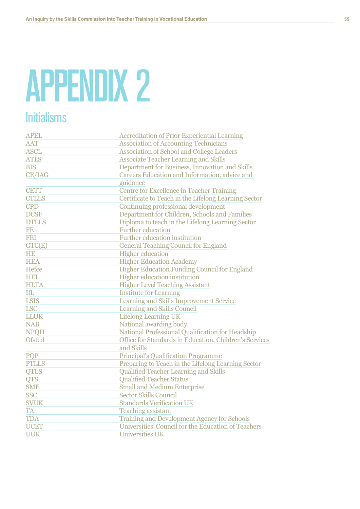## **APPENDIX 2**

### **Initialisms**

| <b>APEL</b>   | <b>Accreditation of Prior Experiential Learning</b>    |
|---------------|--------------------------------------------------------|
| <b>AAT</b>    | <b>Association of Accounting Technicians</b>           |
| <b>ASCL</b>   | <b>Association of School and College Leaders</b>       |
| <b>ATLS</b>   | <b>Associate Teacher Learning and Skills</b>           |
| <b>BIS</b>    | Department for Business, Innovation and Skills         |
| <b>CE/IAG</b> | Careers Education and Information, advice and          |
|               | guidance                                               |
| <b>CETT</b>   | Centre for Excellence in Teacher Training              |
| <b>CTLLS</b>  | Certificate to Teach in the Lifelong Learning Sector   |
| <b>CPD</b>    | Continuing professional development                    |
| <b>DCSF</b>   | Department for Children, Schools and Families          |
| <b>DTLLS</b>  | Diploma to teach in the Lifelong Learning Sector       |
| <b>FE</b>     | <b>Further education</b>                               |
| <b>FEI</b>    | Further education institution                          |
| GTC(E)        | <b>General Teaching Council for England</b>            |
| <b>HE</b>     | <b>Higher education</b>                                |
| <b>HEA</b>    | <b>Higher Education Academy</b>                        |
| Hefce         | Higher Education Funding Council for England           |
| HEI           | Higher education institution                           |
| <b>HLTA</b>   | <b>Higher Level Teaching Assistant</b>                 |
| <b>IfL</b>    | <b>Institute for Learning</b>                          |
| <b>LSIS</b>   | Learning and Skills Improvement Service                |
| <b>LSC</b>    | Learning and Skills Council                            |
| <b>LLUK</b>   | <b>Lifelong Learning UK</b>                            |
| <b>NAB</b>    | National awarding body                                 |
| <b>NPQH</b>   | National Professional Qualification for Headship       |
| <b>Ofsted</b> | Office for Standards in Education, Children's Services |
|               | and Skills                                             |
| PQP           | <b>Principal's Qualification Programme</b>             |
| <b>PTLLS</b>  | Preparing to Teach in the Lifelong Learning Sector     |
| <b>QTLS</b>   | Qualified Teacher Learning and Skills                  |
| <b>QTS</b>    | <b>Qualified Teacher Status</b>                        |
| <b>SME</b>    | <b>Small and Medium Enterprise</b>                     |
| <b>SSC</b>    | <b>Sector Skills Council</b>                           |
| <b>SVUK</b>   | <b>Standards Verification UK</b>                       |
| <b>TA</b>     | <b>Teaching assistant</b>                              |
| <b>TDA</b>    | Training and Development Agency for Schools            |
| <b>UCET</b>   | Universities' Council for the Education of Teachers    |
| <b>UUK</b>    | <b>Universities UK</b>                                 |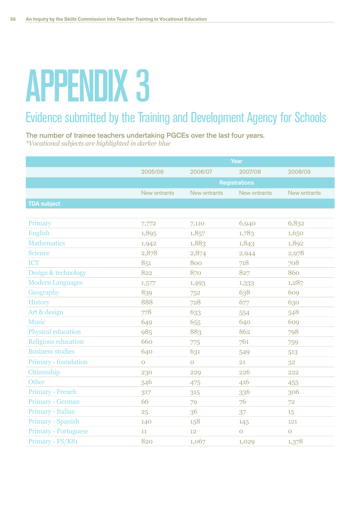## APPENDIX 3

### Evidence submitted by the Training and Development Agency for Schools

The number of trainee teachers undertaking PGCEs over the last four years. *\*Vocational subjects are highlighted in darker blue* 

|                             | Year                 |                |              |                |  |
|-----------------------------|----------------------|----------------|--------------|----------------|--|
|                             | 2005/06              | 2006/07        | 2007/08      | 2008/09        |  |
|                             | <b>Registrations</b> |                |              |                |  |
|                             | New entrants         | New entrants   | New entrants | New entrants   |  |
| <b>TDA subject</b>          |                      |                |              |                |  |
|                             |                      |                |              |                |  |
| Primary                     | 7,772                | 7,110          | 6,940        | 6,832          |  |
| <b>English</b>              | 1,895                | 1,857          | 1,783        | 1,650          |  |
| <b>Mathematics</b>          | 1,942                | 1,883          | 1,843        | 1,892          |  |
| <b>Science</b>              | 2,878                | 2,874          | 2,944        | 2,978          |  |
| <b>ICT</b>                  | 851                  | 800            | 718          | 708            |  |
| Design & technology         | 822                  | 870            | 827          | 860            |  |
| <b>Modern Languages</b>     | 1,577                | 1,493          | 1,333        | 1,287          |  |
| Geography                   | 839                  | 752            | 638          | 609            |  |
| <b>History</b>              | 888                  | 728            | 677          | 630            |  |
| Art & design                | 778                  | 633            | 554          | 548            |  |
| <b>Music</b>                | 649                  | 655            | 640          | 609            |  |
| <b>Physical education</b>   | 985                  | 883            | 862          | 798            |  |
| <b>Religious education</b>  | 660                  | 775            | 761          | 759            |  |
| <b>Business studies</b>     | 640                  | 631            | 549          | 513            |  |
| Primary - foundation        | $\mathbf 0$          | $\overline{O}$ | 21           | 32             |  |
| Citizenship                 | 230                  | 229            | 226          | 222            |  |
| Other                       | 546                  | 475            | 416          | 455            |  |
| <b>Primary - French</b>     | 317                  | 315            | 336          | 306            |  |
| Primary - German            | 66                   | 79             | 76           | 72             |  |
| Primary - Italian           | 25                   | 36             | 37           | 15             |  |
| <b>Primary - Spanish</b>    | 140                  | 158            | 145          | 121            |  |
| <b>Primary - Portuguese</b> | 11                   | 12             | $\mathbf O$  | $\overline{O}$ |  |
| Primary - FS/KS1            | 820                  | 1,067          | 1,029        | 1,378          |  |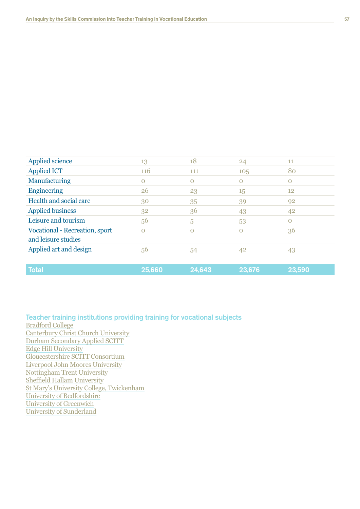| Applied science                       | 13       | 18       | 24             | 11          |
|---------------------------------------|----------|----------|----------------|-------------|
| <b>Applied ICT</b>                    | 116      | 111      | 105            | 80          |
| Manufacturing                         | $\Omega$ | $\Omega$ | $\Omega$       | $\Omega$    |
| <b>Engineering</b>                    | 26       | 23       | 15             | 12          |
| Health and social care                | 30       | 35       | 39             | 92          |
| <b>Applied business</b>               | 32       | 36       | 43             | 42          |
| Leisure and tourism                   | 56       | 5        | 53             | $\mathbf 0$ |
| <b>Vocational - Recreation, sport</b> | $\Omega$ | O        | $\overline{O}$ | 36          |
| and leisure studies                   |          |          |                |             |
| Applied art and design                | 56       | 54       | 42             | 43          |
|                                       |          |          |                |             |
| <b>Total</b>                          | 25,660   | 24,643   | 23,676         | 23,590      |

Teacher training institutions providing training for vocational subjects **Bradford College** Canterbury Christ Church University Durham Secondary Applied SCITT Edge Hill University Gloucestershire SCITT Consortium Liverpool John Moores University Nottingham Trent University Sheffield Hallam University St Mary's University College, Twickenham University of Bedfordshire University of Greenwich University of Sunderland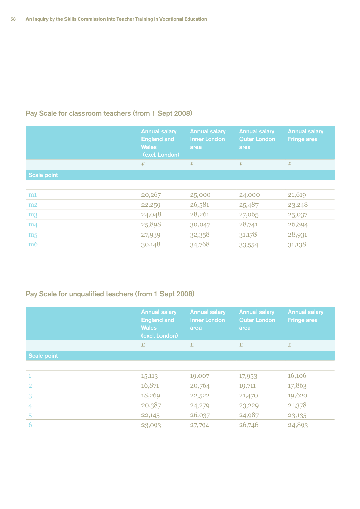### Pay Scale for classroom teachers (from 1 Sept 2008)

|                    | <b>Annual salary</b><br><b>England and</b><br><b>Wales</b><br>(excl. London) | <b>Annual salary</b><br><b>Inner London</b><br>area | <b>Annual salary</b><br><b>Outer London</b><br>area | <b>Annual salary</b><br><b>Fringe area</b> |
|--------------------|------------------------------------------------------------------------------|-----------------------------------------------------|-----------------------------------------------------|--------------------------------------------|
|                    | £                                                                            | £                                                   | £                                                   | £                                          |
| <b>Scale point</b> |                                                                              |                                                     |                                                     |                                            |
|                    |                                                                              |                                                     |                                                     |                                            |
| m1                 | 20,267                                                                       | 25,000                                              | 24,000                                              | 21,619                                     |
| m2                 | 22,259                                                                       | 26,581                                              | 25,487                                              | 23,248                                     |
| m <sub>3</sub>     | 24,048                                                                       | 28,261                                              | 27,065                                              | 25,037                                     |
| m <sub>4</sub>     | 25,898                                                                       | 30,047                                              | 28,741                                              | 26,894                                     |
| m <sub>5</sub>     | 27,939                                                                       | 32,358                                              | 31,178                                              | 28,931                                     |
| m <sub>6</sub>     | 30,148                                                                       | 34,768                                              | 33,554                                              | 31,138                                     |

### Pay Scale for unqualified teachers (from 1 Sept 2008)

|                    | <b>Annual salary</b><br><b>England and</b><br><b>Wales</b><br>(excl. London) | <b>Annual salary</b><br><b>Inner London</b><br>area | <b>Annual salary</b><br><b>Outer London</b><br>area | <b>Annual salary</b><br><b>Fringe area</b> |
|--------------------|------------------------------------------------------------------------------|-----------------------------------------------------|-----------------------------------------------------|--------------------------------------------|
|                    | £                                                                            | £                                                   | £                                                   | £                                          |
| <b>Scale point</b> |                                                                              |                                                     |                                                     |                                            |
|                    |                                                                              |                                                     |                                                     |                                            |
| $\mathbf{1}$       | 15,113                                                                       | 19,007                                              | 17,953                                              | 16,106                                     |
| $\overline{2}$     | 16,871                                                                       | 20,764                                              | 19,711                                              | 17,863                                     |
| 3                  | 18,269                                                                       | 22,522                                              | 21,470                                              | 19,620                                     |
| $\overline{4}$     | 20,387                                                                       | 24,279                                              | 23,229                                              | 21,378                                     |
| $\overline{5}$     | 22,145                                                                       | 26,037                                              | 24,987                                              | 23,135                                     |
| 6                  | 23,093                                                                       | 27,794                                              | 26,746                                              | 24,893                                     |